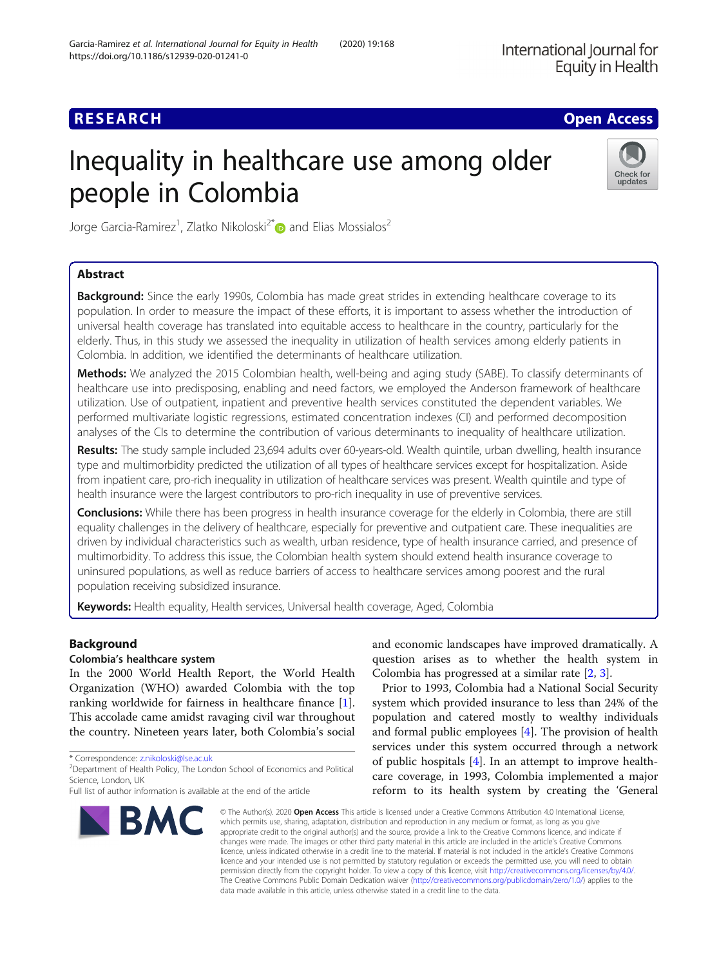## **RESEARCH CHE Open Access**

# Inequality in healthcare use among older people in Colombia



Jorge Garcia-Ramirez<sup>1</sup>, Zlatko Nikoloski<sup>2\*</sup> and Elias Mossialos<sup>2</sup>

## Abstract

**Background:** Since the early 1990s, Colombia has made great strides in extending healthcare coverage to its population. In order to measure the impact of these efforts, it is important to assess whether the introduction of universal health coverage has translated into equitable access to healthcare in the country, particularly for the elderly. Thus, in this study we assessed the inequality in utilization of health services among elderly patients in Colombia. In addition, we identified the determinants of healthcare utilization.

Methods: We analyzed the 2015 Colombian health, well-being and aging study (SABE). To classify determinants of healthcare use into predisposing, enabling and need factors, we employed the Anderson framework of healthcare utilization. Use of outpatient, inpatient and preventive health services constituted the dependent variables. We performed multivariate logistic regressions, estimated concentration indexes (CI) and performed decomposition analyses of the CIs to determine the contribution of various determinants to inequality of healthcare utilization.

Results: The study sample included 23,694 adults over 60-years-old. Wealth quintile, urban dwelling, health insurance type and multimorbidity predicted the utilization of all types of healthcare services except for hospitalization. Aside from inpatient care, pro-rich inequality in utilization of healthcare services was present. Wealth quintile and type of health insurance were the largest contributors to pro-rich inequality in use of preventive services.

Conclusions: While there has been progress in health insurance coverage for the elderly in Colombia, there are still equality challenges in the delivery of healthcare, especially for preventive and outpatient care. These inequalities are driven by individual characteristics such as wealth, urban residence, type of health insurance carried, and presence of multimorbidity. To address this issue, the Colombian health system should extend health insurance coverage to uninsured populations, as well as reduce barriers of access to healthcare services among poorest and the rural population receiving subsidized insurance.

Keywords: Health equality, Health services, Universal health coverage, Aged, Colombia

## Background

## Colombia's healthcare system

In the 2000 World Health Report, the World Health Organization (WHO) awarded Colombia with the top ranking worldwide for fairness in healthcare finance [\[1](#page-13-0)]. This accolade came amidst ravaging civil war throughout the country. Nineteen years later, both Colombia's social

\* Correspondence: [z.nikoloski@lse.ac.uk](mailto:z.nikoloski@lse.ac.uk) <sup>2</sup>

Full list of author information is available at the end of the article



and economic landscapes have improved dramatically. A question arises as to whether the health system in Colombia has progressed at a similar rate [[2,](#page-13-0) [3\]](#page-13-0).

Prior to 1993, Colombia had a National Social Security system which provided insurance to less than 24% of the population and catered mostly to wealthy individuals and formal public employees [\[4](#page-13-0)]. The provision of health services under this system occurred through a network of public hospitals  $[4]$  $[4]$ . In an attempt to improve healthcare coverage, in 1993, Colombia implemented a major reform to its health system by creating the 'General

© The Author(s), 2020 **Open Access** This article is licensed under a Creative Commons Attribution 4.0 International License, which permits use, sharing, adaptation, distribution and reproduction in any medium or format, as long as you give appropriate credit to the original author(s) and the source, provide a link to the Creative Commons licence, and indicate if changes were made. The images or other third party material in this article are included in the article's Creative Commons licence, unless indicated otherwise in a credit line to the material. If material is not included in the article's Creative Commons licence and your intended use is not permitted by statutory regulation or exceeds the permitted use, you will need to obtain permission directly from the copyright holder. To view a copy of this licence, visit [http://creativecommons.org/licenses/by/4.0/.](http://creativecommons.org/licenses/by/4.0/) The Creative Commons Public Domain Dedication waiver [\(http://creativecommons.org/publicdomain/zero/1.0/](http://creativecommons.org/publicdomain/zero/1.0/)) applies to the data made available in this article, unless otherwise stated in a credit line to the data.

<sup>&</sup>lt;sup>2</sup>Department of Health Policy, The London School of Economics and Political Science, London, UK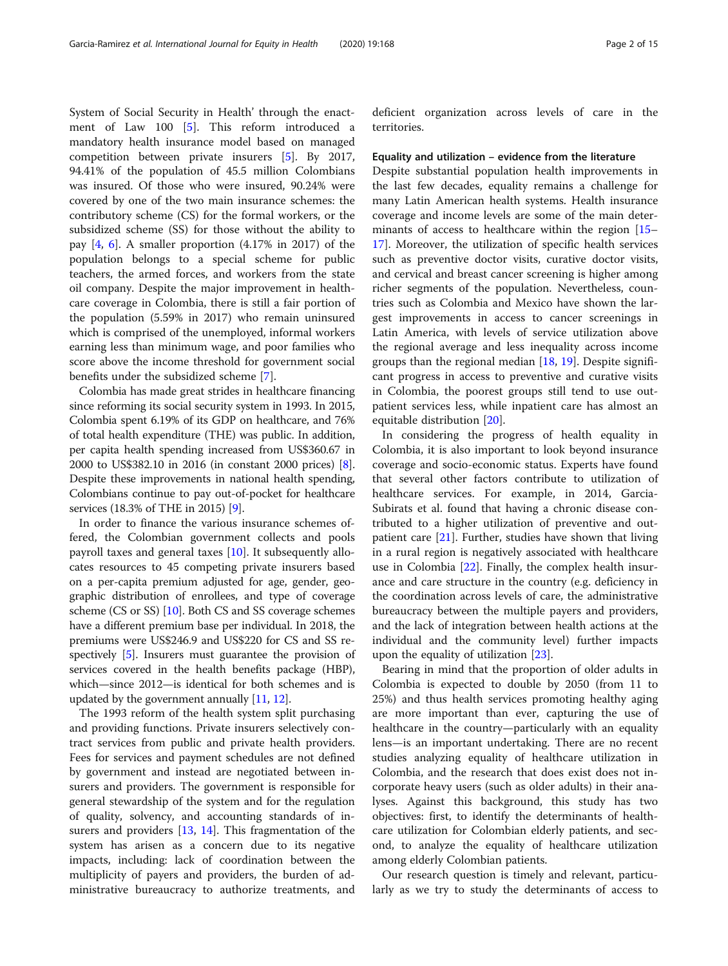System of Social Security in Health' through the enactment of Law 100 [[5\]](#page-13-0). This reform introduced a mandatory health insurance model based on managed competition between private insurers [\[5](#page-13-0)]. By 2017, 94.41% of the population of 45.5 million Colombians was insured. Of those who were insured, 90.24% were covered by one of the two main insurance schemes: the contributory scheme (CS) for the formal workers, or the subsidized scheme (SS) for those without the ability to pay  $[4, 6]$  $[4, 6]$  $[4, 6]$  $[4, 6]$ . A smaller proportion  $(4.17\% \text{ in } 2017)$  of the population belongs to a special scheme for public teachers, the armed forces, and workers from the state oil company. Despite the major improvement in healthcare coverage in Colombia, there is still a fair portion of the population (5.59% in 2017) who remain uninsured which is comprised of the unemployed, informal workers earning less than minimum wage, and poor families who score above the income threshold for government social benefits under the subsidized scheme [[7\]](#page-13-0).

Colombia has made great strides in healthcare financing since reforming its social security system in 1993. In 2015, Colombia spent 6.19% of its GDP on healthcare, and 76% of total health expenditure (THE) was public. In addition, per capita health spending increased from US\$360.67 in 2000 to US\$382.10 in 2016 (in constant 2000 prices) [[8](#page-13-0)]. Despite these improvements in national health spending, Colombians continue to pay out-of-pocket for healthcare services (18.3% of THE in 2015) [\[9\]](#page-13-0).

In order to finance the various insurance schemes offered, the Colombian government collects and pools payroll taxes and general taxes [[10\]](#page-13-0). It subsequently allocates resources to 45 competing private insurers based on a per-capita premium adjusted for age, gender, geographic distribution of enrollees, and type of coverage scheme (CS or SS) [\[10\]](#page-13-0). Both CS and SS coverage schemes have a different premium base per individual. In 2018, the premiums were US\$246.9 and US\$220 for CS and SS respectively [\[5\]](#page-13-0). Insurers must guarantee the provision of services covered in the health benefits package (HBP), which—since 2012—is identical for both schemes and is updated by the government annually [\[11,](#page-13-0) [12](#page-13-0)].

The 1993 reform of the health system split purchasing and providing functions. Private insurers selectively contract services from public and private health providers. Fees for services and payment schedules are not defined by government and instead are negotiated between insurers and providers. The government is responsible for general stewardship of the system and for the regulation of quality, solvency, and accounting standards of insurers and providers [[13](#page-13-0), [14](#page-13-0)]. This fragmentation of the system has arisen as a concern due to its negative impacts, including: lack of coordination between the multiplicity of payers and providers, the burden of administrative bureaucracy to authorize treatments, and deficient organization across levels of care in the territories.

#### Equality and utilization – evidence from the literature

Despite substantial population health improvements in the last few decades, equality remains a challenge for many Latin American health systems. Health insurance coverage and income levels are some of the main determinants of access to healthcare within the region [[15](#page-13-0)– [17\]](#page-13-0). Moreover, the utilization of specific health services such as preventive doctor visits, curative doctor visits, and cervical and breast cancer screening is higher among richer segments of the population. Nevertheless, countries such as Colombia and Mexico have shown the largest improvements in access to cancer screenings in Latin America, with levels of service utilization above the regional average and less inequality across income groups than the regional median  $[18, 19]$  $[18, 19]$  $[18, 19]$ . Despite significant progress in access to preventive and curative visits in Colombia, the poorest groups still tend to use outpatient services less, while inpatient care has almost an equitable distribution [[20](#page-13-0)].

In considering the progress of health equality in Colombia, it is also important to look beyond insurance coverage and socio-economic status. Experts have found that several other factors contribute to utilization of healthcare services. For example, in 2014, Garcia-Subirats et al. found that having a chronic disease contributed to a higher utilization of preventive and outpatient care [[21](#page-13-0)]. Further, studies have shown that living in a rural region is negatively associated with healthcare use in Colombia [[22](#page-13-0)]. Finally, the complex health insurance and care structure in the country (e.g. deficiency in the coordination across levels of care, the administrative bureaucracy between the multiple payers and providers, and the lack of integration between health actions at the individual and the community level) further impacts upon the equality of utilization [[23](#page-13-0)].

Bearing in mind that the proportion of older adults in Colombia is expected to double by 2050 (from 11 to 25%) and thus health services promoting healthy aging are more important than ever, capturing the use of healthcare in the country—particularly with an equality lens—is an important undertaking. There are no recent studies analyzing equality of healthcare utilization in Colombia, and the research that does exist does not incorporate heavy users (such as older adults) in their analyses. Against this background, this study has two objectives: first, to identify the determinants of healthcare utilization for Colombian elderly patients, and second, to analyze the equality of healthcare utilization among elderly Colombian patients.

Our research question is timely and relevant, particularly as we try to study the determinants of access to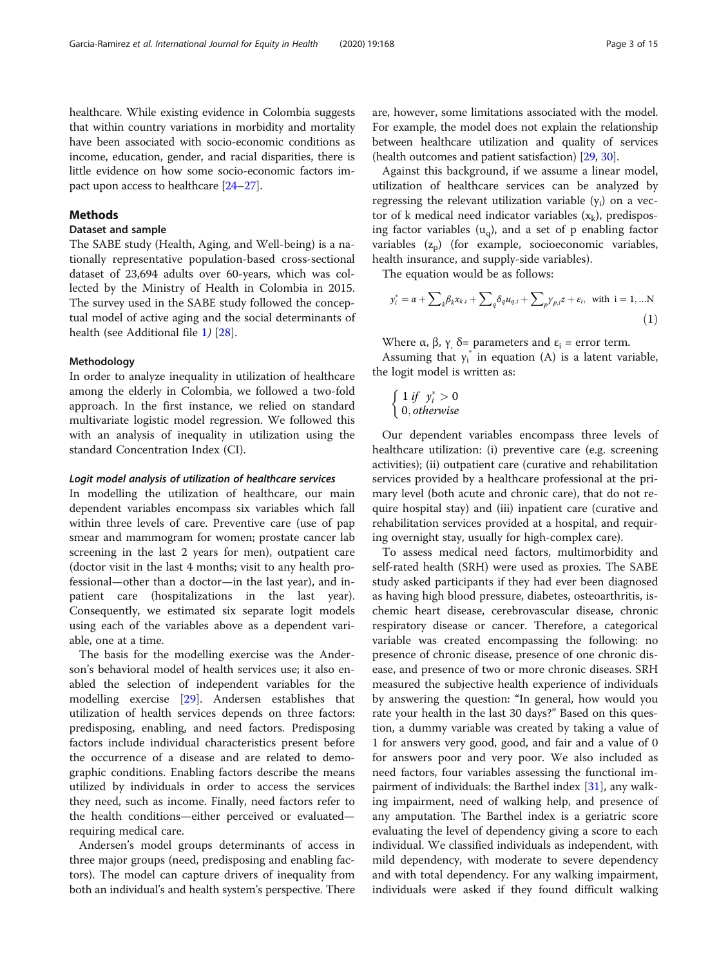healthcare. While existing evidence in Colombia suggests that within country variations in morbidity and mortality have been associated with socio-economic conditions as income, education, gender, and racial disparities, there is little evidence on how some socio-economic factors impact upon access to healthcare [\[24](#page-13-0)–[27](#page-13-0)].

#### Methods

## Dataset and sample

The SABE study (Health, Aging, and Well-being) is a nationally representative population-based cross-sectional dataset of 23,694 adults over 60-years, which was collected by the Ministry of Health in Colombia in 2015. The survey used in the SABE study followed the conceptual model of active aging and the social determinants of health (see Additional file [1](#page-12-0)) [[28\]](#page-13-0).

#### Methodology

In order to analyze inequality in utilization of healthcare among the elderly in Colombia, we followed a two-fold approach. In the first instance, we relied on standard multivariate logistic model regression. We followed this with an analysis of inequality in utilization using the standard Concentration Index (CI).

#### Logit model analysis of utilization of healthcare services

In modelling the utilization of healthcare, our main dependent variables encompass six variables which fall within three levels of care. Preventive care (use of pap smear and mammogram for women; prostate cancer lab screening in the last 2 years for men), outpatient care (doctor visit in the last 4 months; visit to any health professional—other than a doctor—in the last year), and inpatient care (hospitalizations in the last year). Consequently, we estimated six separate logit models using each of the variables above as a dependent variable, one at a time.

The basis for the modelling exercise was the Anderson's behavioral model of health services use; it also enabled the selection of independent variables for the modelling exercise [[29](#page-13-0)]. Andersen establishes that utilization of health services depends on three factors: predisposing, enabling, and need factors. Predisposing factors include individual characteristics present before the occurrence of a disease and are related to demographic conditions. Enabling factors describe the means utilized by individuals in order to access the services they need, such as income. Finally, need factors refer to the health conditions—either perceived or evaluated requiring medical care.

Andersen's model groups determinants of access in three major groups (need, predisposing and enabling factors). The model can capture drivers of inequality from both an individual's and health system's perspective. There are, however, some limitations associated with the model. For example, the model does not explain the relationship between healthcare utilization and quality of services (health outcomes and patient satisfaction) [[29](#page-13-0), [30\]](#page-13-0).

Against this background, if we assume a linear model, utilization of healthcare services can be analyzed by regressing the relevant utilization variable  $(y_i)$  on a vector of k medical need indicator variables  $(x_k)$ , predisposing factor variables  $(u_{\alpha})$ , and a set of p enabling factor variables  $(z_p)$  (for example, socioeconomic variables, health insurance, and supply-side variables).

The equation would be as follows:

$$
y_i^* = \alpha + \sum_k \beta_k x_{k,i} + \sum_q \delta_q u_{q,i} + \sum_p \gamma_{p,i} z + \varepsilon_i, \text{ with } i = 1,...N
$$
\n(1)

Where α, β, γ<sub>,</sub> δ= parameters and  $\varepsilon$ <sub>i</sub> = error term. Assuming that  $y_i^*$  in equation (A) is a latent variable, the logit model is written as:

$$
\begin{cases} 1 \text{ if } y_i^* > 0\\ 0, \text{ otherwise} \end{cases}
$$

Our dependent variables encompass three levels of healthcare utilization: (i) preventive care (e.g. screening activities); (ii) outpatient care (curative and rehabilitation services provided by a healthcare professional at the primary level (both acute and chronic care), that do not require hospital stay) and (iii) inpatient care (curative and rehabilitation services provided at a hospital, and requiring overnight stay, usually for high-complex care).

To assess medical need factors, multimorbidity and self-rated health (SRH) were used as proxies. The SABE study asked participants if they had ever been diagnosed as having high blood pressure, diabetes, osteoarthritis, ischemic heart disease, cerebrovascular disease, chronic respiratory disease or cancer. Therefore, a categorical variable was created encompassing the following: no presence of chronic disease, presence of one chronic disease, and presence of two or more chronic diseases. SRH measured the subjective health experience of individuals by answering the question: "In general, how would you rate your health in the last 30 days?" Based on this question, a dummy variable was created by taking a value of 1 for answers very good, good, and fair and a value of 0 for answers poor and very poor. We also included as need factors, four variables assessing the functional impairment of individuals: the Barthel index [\[31\]](#page-13-0), any walking impairment, need of walking help, and presence of any amputation. The Barthel index is a geriatric score evaluating the level of dependency giving a score to each individual. We classified individuals as independent, with mild dependency, with moderate to severe dependency and with total dependency. For any walking impairment, individuals were asked if they found difficult walking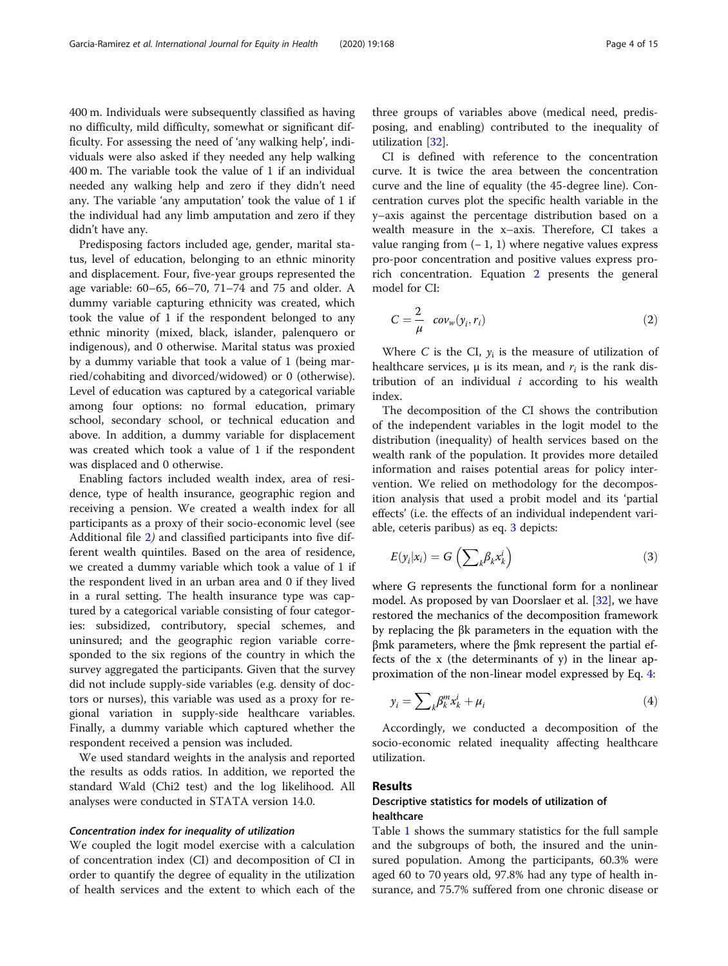400 m. Individuals were subsequently classified as having no difficulty, mild difficulty, somewhat or significant difficulty. For assessing the need of 'any walking help', individuals were also asked if they needed any help walking 400 m. The variable took the value of 1 if an individual needed any walking help and zero if they didn't need any. The variable 'any amputation' took the value of 1 if the individual had any limb amputation and zero if they didn't have any.

Predisposing factors included age, gender, marital status, level of education, belonging to an ethnic minority and displacement. Four, five-year groups represented the age variable: 60–65, 66–70, 71–74 and 75 and older. A dummy variable capturing ethnicity was created, which took the value of 1 if the respondent belonged to any ethnic minority (mixed, black, islander, palenquero or indigenous), and 0 otherwise. Marital status was proxied by a dummy variable that took a value of 1 (being married/cohabiting and divorced/widowed) or 0 (otherwise). Level of education was captured by a categorical variable among four options: no formal education, primary school, secondary school, or technical education and above. In addition, a dummy variable for displacement was created which took a value of 1 if the respondent was displaced and 0 otherwise.

Enabling factors included wealth index, area of residence, type of health insurance, geographic region and receiving a pension. We created a wealth index for all participants as a proxy of their socio-economic level (see Additional file [2](#page-12-0)) and classified participants into five different wealth quintiles. Based on the area of residence, we created a dummy variable which took a value of 1 if the respondent lived in an urban area and 0 if they lived in a rural setting. The health insurance type was captured by a categorical variable consisting of four categories: subsidized, contributory, special schemes, and uninsured; and the geographic region variable corresponded to the six regions of the country in which the survey aggregated the participants. Given that the survey did not include supply-side variables (e.g. density of doctors or nurses), this variable was used as a proxy for regional variation in supply-side healthcare variables. Finally, a dummy variable which captured whether the respondent received a pension was included.

We used standard weights in the analysis and reported the results as odds ratios. In addition, we reported the standard Wald (Chi2 test) and the log likelihood. All analyses were conducted in STATA version 14.0.

#### Concentration index for inequality of utilization

We coupled the logit model exercise with a calculation of concentration index (CI) and decomposition of CI in order to quantify the degree of equality in the utilization of health services and the extent to which each of the three groups of variables above (medical need, predisposing, and enabling) contributed to the inequality of utilization [[32\]](#page-13-0).

CI is defined with reference to the concentration curve. It is twice the area between the concentration curve and the line of equality (the 45-degree line). Concentration curves plot the specific health variable in the y–axis against the percentage distribution based on a wealth measure in the x–axis. Therefore, CI takes a value ranging from  $(-1, 1)$  where negative values express pro-poor concentration and positive values express prorich concentration. Equation 2 presents the general model for CI:

$$
C = \frac{2}{\mu} \quad cov_w(y_i, r_i) \tag{2}
$$

Where C is the CI,  $y_i$  is the measure of utilization of healthcare services,  $\mu$  is its mean, and  $r_i$  is the rank distribution of an individual  $i$  according to his wealth index.

The decomposition of the CI shows the contribution of the independent variables in the logit model to the distribution (inequality) of health services based on the wealth rank of the population. It provides more detailed information and raises potential areas for policy intervention. We relied on methodology for the decomposition analysis that used a probit model and its 'partial effects' (i.e. the effects of an individual independent variable, ceteris paribus) as eq. 3 depicts:

$$
E(y_i|x_i) = G\left(\sum_k \beta_k x_k^i\right) \tag{3}
$$

where G represents the functional form for a nonlinear model. As proposed by van Doorslaer et al. [[32\]](#page-13-0), we have restored the mechanics of the decomposition framework by replacing the βk parameters in the equation with the βmk parameters, where the βmk represent the partial effects of the x (the determinants of y) in the linear approximation of the non-linear model expressed by Eq. 4:

$$
y_i = \sum_k \beta_k^m x_k^i + \mu_i \tag{4}
$$

Accordingly, we conducted a decomposition of the socio-economic related inequality affecting healthcare utilization.

### Results

## Descriptive statistics for models of utilization of healthcare

Table [1](#page-4-0) shows the summary statistics for the full sample and the subgroups of both, the insured and the uninsured population. Among the participants, 60.3% were aged 60 to 70 years old, 97.8% had any type of health insurance, and 75.7% suffered from one chronic disease or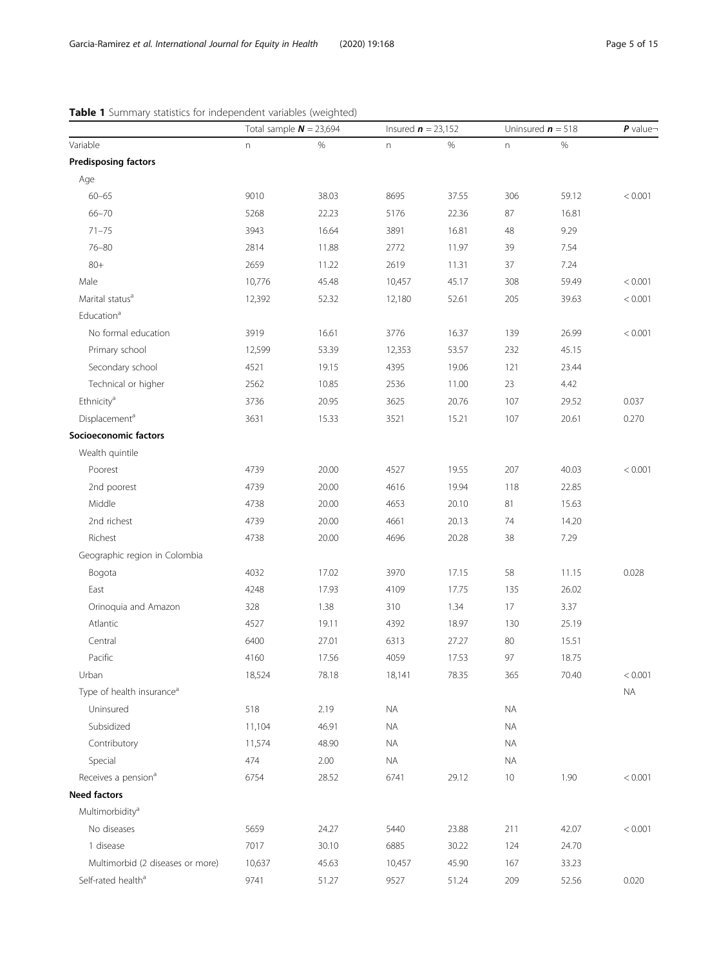## <span id="page-4-0"></span>Table 1 Summary statistics for independent variables (weighted)

|                                       | Total sample $N = 23,694$ |       | Insured $\boldsymbol{n} = 23,152$ |       |                           | Uninsured $n = 518$ | $P$ value- |
|---------------------------------------|---------------------------|-------|-----------------------------------|-------|---------------------------|---------------------|------------|
| Variable                              | $\mathsf{n}$              | $\%$  | n                                 | $\%$  | $\boldsymbol{\mathsf{n}}$ | $\%$                |            |
| <b>Predisposing factors</b>           |                           |       |                                   |       |                           |                     |            |
| Age                                   |                           |       |                                   |       |                           |                     |            |
| $60 - 65$                             | 9010                      | 38.03 | 8695                              | 37.55 | 306                       | 59.12               | < 0.001    |
| $66 - 70$                             | 5268                      | 22.23 | 5176                              | 22.36 | 87                        | 16.81               |            |
| $71 - 75$                             | 3943                      | 16.64 | 3891                              | 16.81 | 48                        | 9.29                |            |
| $76 - 80$                             | 2814                      | 11.88 | 2772                              | 11.97 | 39                        | 7.54                |            |
| $80+$                                 | 2659                      | 11.22 | 2619                              | 11.31 | 37                        | 7.24                |            |
| Male                                  | 10,776                    | 45.48 | 10,457                            | 45.17 | 308                       | 59.49               | < 0.001    |
| Marital status <sup>a</sup>           | 12,392                    | 52.32 | 12,180                            | 52.61 | 205                       | 39.63               | < 0.001    |
| Education <sup>a</sup>                |                           |       |                                   |       |                           |                     |            |
| No formal education                   | 3919                      | 16.61 | 3776                              | 16.37 | 139                       | 26.99               | < 0.001    |
| Primary school                        | 12,599                    | 53.39 | 12,353                            | 53.57 | 232                       | 45.15               |            |
| Secondary school                      | 4521                      | 19.15 | 4395                              | 19.06 | 121                       | 23.44               |            |
| Technical or higher                   | 2562                      | 10.85 | 2536                              | 11.00 | 23                        | 4.42                |            |
| Ethnicity <sup>a</sup>                | 3736                      | 20.95 | 3625                              | 20.76 | 107                       | 29.52               | 0.037      |
| Displacement <sup>a</sup>             | 3631                      | 15.33 | 3521                              | 15.21 | 107                       | 20.61               | 0.270      |
| Socioeconomic factors                 |                           |       |                                   |       |                           |                     |            |
| Wealth quintile                       |                           |       |                                   |       |                           |                     |            |
| Poorest                               | 4739                      | 20.00 | 4527                              | 19.55 | 207                       | 40.03               | < 0.001    |
| 2nd poorest                           | 4739                      | 20.00 | 4616                              | 19.94 | 118                       | 22.85               |            |
| Middle                                | 4738                      | 20.00 | 4653                              | 20.10 | 81                        | 15.63               |            |
| 2nd richest                           | 4739                      | 20.00 | 4661                              | 20.13 | 74                        | 14.20               |            |
| Richest                               | 4738                      | 20.00 | 4696                              | 20.28 | 38                        | 7.29                |            |
| Geographic region in Colombia         |                           |       |                                   |       |                           |                     |            |
| Bogota                                | 4032                      | 17.02 | 3970                              | 17.15 | 58                        | 11.15               | 0.028      |
| East                                  | 4248                      | 17.93 | 4109                              | 17.75 | 135                       | 26.02               |            |
| Orinoquia and Amazon                  | 328                       | 1.38  | 310                               | 1.34  | 17                        | 3.37                |            |
| Atlantic                              | 4527                      | 19.11 | 4392                              | 18.97 | 130                       | 25.19               |            |
| Central                               | 6400                      | 27.01 | 6313                              | 27.27 | 80                        | 15.51               |            |
| Pacific                               | 4160                      | 17.56 | 4059                              | 17.53 | 97                        | 18.75               |            |
| Urban                                 | 18,524                    | 78.18 | 18,141                            | 78.35 | 365                       | 70.40               | < 0.001    |
| Type of health insurance <sup>a</sup> |                           |       |                                   |       |                           |                     | <b>NA</b>  |
| Uninsured                             | 518                       | 2.19  | $\sf NA$                          |       | <b>NA</b>                 |                     |            |
| Subsidized                            | 11,104                    | 46.91 | <b>NA</b>                         |       | <b>NA</b>                 |                     |            |
| Contributory                          | 11,574                    | 48.90 | <b>NA</b>                         |       | <b>NA</b>                 |                     |            |
| Special                               | 474                       | 2.00  | <b>NA</b>                         |       | <b>NA</b>                 |                     |            |
| Receives a pension <sup>a</sup>       | 6754                      | 28.52 | 6741                              | 29.12 | 10                        | 1.90                | < 0.001    |
| <b>Need factors</b>                   |                           |       |                                   |       |                           |                     |            |
| Multimorbidity <sup>a</sup>           |                           |       |                                   |       |                           |                     |            |
| No diseases                           | 5659                      | 24.27 | 5440                              | 23.88 | 211                       | 42.07               | < 0.001    |
| 1 disease                             | 7017                      | 30.10 | 6885                              | 30.22 | 124                       | 24.70               |            |
| Multimorbid (2 diseases or more)      | 10,637                    | 45.63 | 10,457                            | 45.90 | 167                       | 33.23               |            |
| Self-rated health <sup>a</sup>        | 9741                      | 51.27 | 9527                              | 51.24 | 209                       | 52.56               | 0.020      |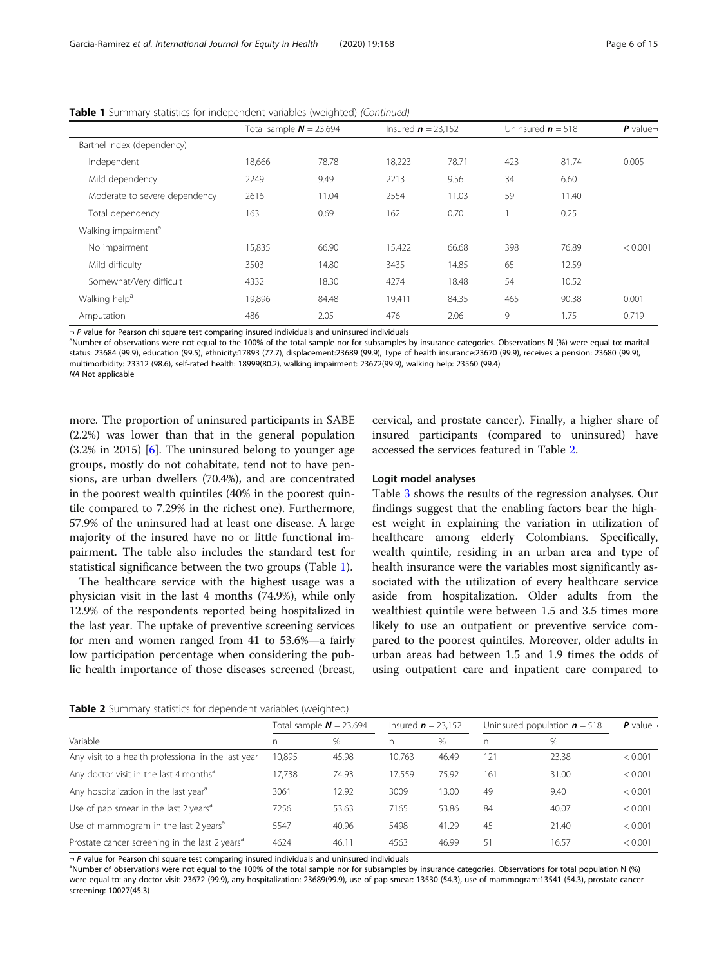|                                 | Total sample $N = 23,694$ |       | Insured $\boldsymbol{n} = 23.152$ |       |     | Uninsured $\boldsymbol{n} = 518$ | $P$ value- |
|---------------------------------|---------------------------|-------|-----------------------------------|-------|-----|----------------------------------|------------|
| Barthel Index (dependency)      |                           |       |                                   |       |     |                                  |            |
| Independent                     | 18,666                    | 78.78 | 18,223                            | 78.71 | 423 | 81.74                            | 0.005      |
| Mild dependency                 | 2249                      | 9.49  | 2213                              | 9.56  | 34  | 6.60                             |            |
| Moderate to severe dependency   | 2616                      | 11.04 | 2554                              | 11.03 | 59  | 11.40                            |            |
| Total dependency                | 163                       | 0.69  | 162                               | 0.70  |     | 0.25                             |            |
| Walking impairment <sup>a</sup> |                           |       |                                   |       |     |                                  |            |
| No impairment                   | 15,835<br>66.90           |       | 15,422                            | 66.68 | 398 | 76.89                            | < 0.001    |
| Mild difficulty                 | 3503                      | 14.80 | 3435                              | 14.85 | 65  | 12.59                            |            |
| Somewhat/Very difficult         | 4332                      | 18.30 | 4274                              | 18.48 | 54  | 10.52                            |            |
| Walking help <sup>a</sup>       | 19,896                    | 84.48 | 19,411                            | 84.35 | 465 | 90.38                            | 0.001      |
| Amputation                      | 486                       | 2.05  | 476                               | 2.06  | 9   | 1.75                             | 0.719      |

Table 1 Summary statistics for independent variables (weighted) (Continued)

 $\neg P$  value for Pearson chi square test comparing insured individuals and uninsured individuals

<sup>a</sup>Number of observations were not equal to the 100% of the total sample nor for subsamples by insurance categories. Observations N (%) were equal to: marital status: 23684 (99.9), education (99.5), ethnicity:17893 (77.7), displacement:23689 (99.9), Type of health insurance:23670 (99.9), receives a pension: 23680 (99.9), multimorbidity: 23312 (98.6), self-rated health: 18999(80.2), walking impairment: 23672(99.9), walking help: 23560 (99.4) NA Not applicable

more. The proportion of uninsured participants in SABE (2.2%) was lower than that in the general population (3.2% in 2015) [\[6\]](#page-13-0). The uninsured belong to younger age groups, mostly do not cohabitate, tend not to have pensions, are urban dwellers (70.4%), and are concentrated in the poorest wealth quintiles (40% in the poorest quintile compared to 7.29% in the richest one). Furthermore, 57.9% of the uninsured had at least one disease. A large majority of the insured have no or little functional impairment. The table also includes the standard test for statistical significance between the two groups (Table [1](#page-4-0)).

The healthcare service with the highest usage was a physician visit in the last 4 months (74.9%), while only 12.9% of the respondents reported being hospitalized in the last year. The uptake of preventive screening services for men and women ranged from 41 to 53.6%—a fairly low participation percentage when considering the public health importance of those diseases screened (breast, cervical, and prostate cancer). Finally, a higher share of insured participants (compared to uninsured) have accessed the services featured in Table 2.

#### Logit model analyses

Table [3](#page-6-0) shows the results of the regression analyses. Our findings suggest that the enabling factors bear the highest weight in explaining the variation in utilization of healthcare among elderly Colombians. Specifically, wealth quintile, residing in an urban area and type of health insurance were the variables most significantly associated with the utilization of every healthcare service aside from hospitalization. Older adults from the wealthiest quintile were between 1.5 and 3.5 times more likely to use an outpatient or preventive service compared to the poorest quintiles. Moreover, older adults in urban areas had between 1.5 and 1.9 times the odds of using outpatient care and inpatient care compared to

| <b>Table 2</b> Summary statistics for dependent variables (weighted) |  |  |  |  |
|----------------------------------------------------------------------|--|--|--|--|
|----------------------------------------------------------------------|--|--|--|--|

|                                                            |        | Total sample $N = 23,694$ | Insured $\boldsymbol{n} = 23.152$ |       |     | Uninsured population $n = 518$ | $P$ value- |
|------------------------------------------------------------|--------|---------------------------|-----------------------------------|-------|-----|--------------------------------|------------|
| Variable                                                   |        | %                         |                                   | $\%$  |     | %                              |            |
| Any visit to a health professional in the last year        | 10,895 | 45.98                     | 10.763                            | 46.49 | 121 | 23.38                          | < 0.001    |
| Any doctor visit in the last 4 months <sup>a</sup>         | 17.738 | 74.93                     | 17.559                            | 75.92 | 161 | 31.00                          | < 0.001    |
| Any hospitalization in the last year <sup>a</sup>          | 3061   | 12.92                     | 3009                              | 13.00 | 49  | 9.40                           | < 0.001    |
| Use of pap smear in the last 2 years <sup>a</sup>          | 7256   | 53.63                     | 7165                              | 53.86 | 84  | 40.07                          | < 0.001    |
| Use of mammogram in the last 2 years <sup>a</sup>          | 5547   | 40.96                     | 5498                              | 41.29 | 45  | 21.40                          | < 0.001    |
| Prostate cancer screening in the last 2 years <sup>a</sup> | 4624   | 46.11                     | 4563                              | 46.99 | 51  | 16.57                          | < 0.001    |

 $\neg P$  value for Pearson chi square test comparing insured individuals and uninsured individuals

<sup>a</sup>Number of observations were not equal to the 100% of the total sample nor for subsamples by insurance categories. Observations for total population N (%) were equal to: any doctor visit: 23672 (99.9), any hospitalization: 23689(99.9), use of pap smear: 13530 (54.3), use of mammogram:13541 (54.3), prostate cancer screening: 10027(45.3)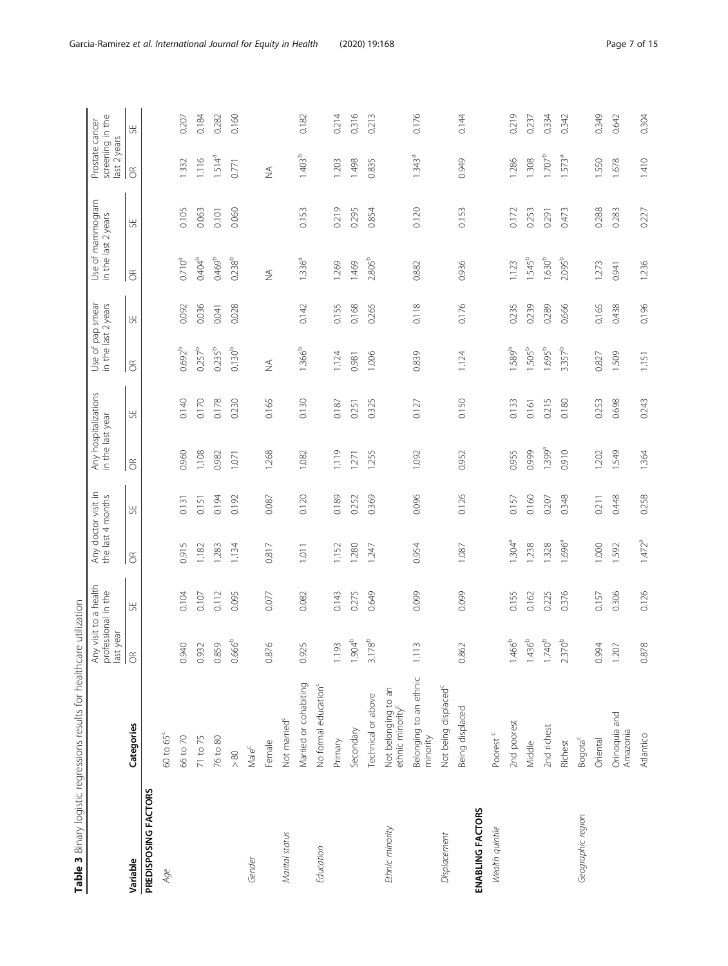<span id="page-6-0"></span>

|                      |                                                     | professional in the<br>last year<br>OR | Any visit to a health | Any doctor visit in<br>the last 4 months |                | in the last year   | Any hospitalizations | Use of pap smear<br>in the last 2 years |         | in the last 2 years | Use of mammogram | screening in the<br>Prostate cancer<br>last 2 years |         |
|----------------------|-----------------------------------------------------|----------------------------------------|-----------------------|------------------------------------------|----------------|--------------------|----------------------|-----------------------------------------|---------|---------------------|------------------|-----------------------------------------------------|---------|
| Variable             | Categories                                          |                                        | SE,                   | $\delta$                                 | $\overline{S}$ | $\delta$           | US<br>S              | $\delta$                                | US<br>S | $\delta$            | SE,              | $\sigma$                                            | US<br>S |
| PREDISPOSING FACTORS |                                                     |                                        |                       |                                          |                |                    |                      |                                         |         |                     |                  |                                                     |         |
| Age                  | $60$ to $65^{\circ}$                                |                                        |                       |                                          |                |                    |                      |                                         |         |                     |                  |                                                     |         |
|                      | 66 to 70                                            | 0.940                                  | 0.104                 | 0.915                                    | 0.131          | 0.960              | 0.140                | $0.692^{b}$                             | 0.092   | 0.710 <sup>a</sup>  | 0.105            | .332                                                | 0.207   |
|                      | 71 to 75                                            | $\Im$<br>$\overline{0}$                | 0.107                 | 1.182                                    | 0.151          | 1.108              | 0.170                | $0.257^{b}$                             | 0.036   | 0.404 <sup>b</sup>  | 0.063            | 1.116                                               | 0.184   |
|                      | 76 to 80                                            | 59<br>$\overline{0.8}$                 | 0.112                 | 1.283                                    | 0.194          | 0.982              | 0.178                | 0.235 <sup>b</sup>                      | 0.041   | 0.469 <sup>b</sup>  | 0.101            | $1.514^{a}$                                         | 0.282   |
|                      | $> 80$                                              | $\frac{6}{6}$<br>66                    | 0.095                 | 1.134                                    | 0.192          | 1.071              | 0.230                | $0.130^{b}$                             | 0.028   | $0.238^{b}$         | 0.060            | 0.771                                               | 0.160   |
| Gender               | Male <sup>c</sup>                                   |                                        |                       |                                          |                |                    |                      |                                         |         |                     |                  |                                                     |         |
|                      | Female                                              | δŹ<br>0.8                              | 0.077                 | 0.817                                    | 0.087          | 1.268              | 0.165                | $\frac{1}{2}$                           |         | $\frac{1}{2}$       |                  | $\frac{1}{2}$                                       |         |
| Marital status       | Not married <sup>c</sup>                            |                                        |                       |                                          |                |                    |                      |                                         |         |                     |                  |                                                     |         |
|                      | Married or cohabiting                               | 0.925                                  | 0.082                 | 1.011                                    | 0.120          | 1.082              | 0.130                | 1.366 <sup>b</sup>                      | 0.142   | $1.336^{a}$         | 0.153            | $1.403^{b}$                                         | 0.182   |
| Education            | No formal education <sup>c</sup>                    |                                        |                       |                                          |                |                    |                      |                                         |         |                     |                  |                                                     |         |
|                      | Primary                                             | 93<br>Ē                                | 0.143                 | 1.152                                    | 0.189          | 1.119              | 0.187                | 1.124                                   | 0.155   | 1.269               | 0.219            | 1.203                                               | 0.214   |
|                      | Secondary                                           | 1.904 <sup>b</sup>                     | 0.275                 | 1,280                                    | 0.252          | 1.271              | 0.251                | 0.981                                   | 0.168   | 1.469               | 0.295            | 1.498                                               | 0.316   |
|                      | Technical or above                                  | 78 <sup>b</sup><br>$\overline{31}$     | 0.649                 | 1.247                                    | 0.369          | 1.255              | 0.325                | 1.006                                   | 0.265   | 2.805 <sup>b</sup>  | 0.854            | 0.835                                               | 0.213   |
| Ethnic minority      | Not belonging to an<br>ethnic minority <sup>c</sup> |                                        |                       |                                          |                |                    |                      |                                         |         |                     |                  |                                                     |         |
|                      | Belonging to an ethnic<br>minority                  | $\widetilde{\Box}$<br>$\Box$           | 0.099                 | 0.954                                    | 0.096          | 1.092              | 0.127                | 0.839                                   | 0.118   | 0.882               | 0.120            | $1.343^a$                                           | 0.176   |
| Displacement         | Not being displaced <sup>c</sup>                    |                                        |                       |                                          |                |                    |                      |                                         |         |                     |                  |                                                     |         |
|                      | Being displaced                                     | 0.862                                  | 0.099                 | 1.087                                    | 0.126          | 0.952              | 0.150                | 1.124                                   | 0.176   | 0.936               | 0.153            | 0.949                                               | 0.144   |
| ENABLING FACTORS     |                                                     |                                        |                       |                                          |                |                    |                      |                                         |         |                     |                  |                                                     |         |
| Wealth quintile      | Poorest <sup>c</sup>                                |                                        |                       |                                          |                |                    |                      |                                         |         |                     |                  |                                                     |         |
|                      | 2nd poorest                                         | 1.466 <sup>b</sup>                     | 0.155                 | $1.304^{a}$                              | 0.157          | 0.955              | 0.133                | 1.589 <sup>b</sup>                      | 0.235   | 1.123               | 0.172            | 1.286                                               | 0.219   |
|                      | Middle                                              | 36 <sup>b</sup><br>$\overline{4}$      | 0.162                 | 1.238                                    | 0.160          | 0.999              | 0.161                | 1.505 <sup>b</sup>                      | 0.239   | 1.545 <sup>b</sup>  | 0.253            | 1.308                                               | 0.237   |
|                      | 2nd richest                                         | 1.740 <sup>b</sup>                     | 0.225                 | 1.328                                    | 0.207          | 1.399 <sup>a</sup> | 0.215                | $1.695^{b}$                             | 0.289   | $1.630^{b}$         | 0.291            | $1.707^{b}$                                         | 0.334   |
|                      | Richest                                             | $\gamma^{\circ}$<br>23                 | 0.376                 | 1.696 <sup>a</sup>                       | 0.348          | 0.910              | 0.180                | $3.357^{b}$                             | 0.666   | 2.095 <sup>b</sup>  | 0.473            | 1.573 <sup>a</sup>                                  | 0.342   |
| Geographic region    | Bogota <sup>c</sup>                                 |                                        |                       |                                          |                |                    |                      |                                         |         |                     |                  |                                                     |         |
|                      | Oriental                                            | 54<br>$\overline{0}$                   | 0.157                 | 1.000                                    | 0.211          | 1.202              | 0.253                | 0.827                                   | 0.165   | 1.273               | 0.288            | 1.550                                               | 0.349   |
|                      | Orinoquia and<br>Amazonia                           | $\circ$<br>$\tilde{\Xi}$               | 0.306                 | 1.592                                    | 0.448          | 1.549              | 0.698                | 1.509                                   | 0.438   | 0.941               | 0.283            | 1.678                                               | 0.642   |
|                      | Atlantico                                           | 0.878                                  | 0.126                 | $1.472^{a}$                              | 0.258          | 1.364              | 0.243                | 1.151                                   | 0.196   | 1.236               | 0.227            | 1.410                                               | 0.304   |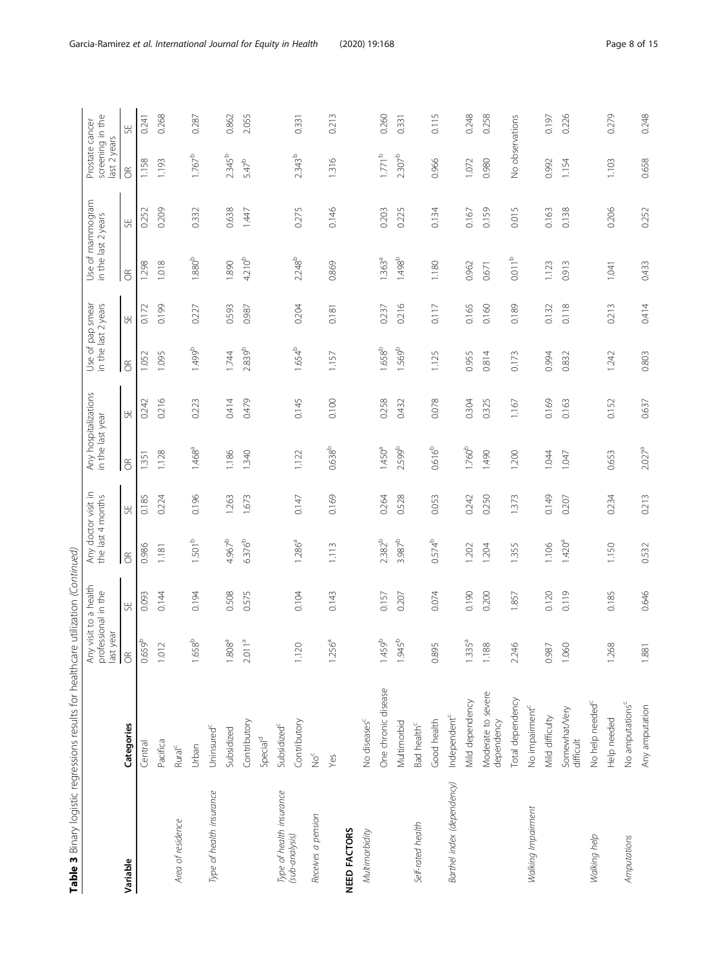|                            |                                  | year<br>Αrγ<br>pio<br>15P | visit to a health<br>fessional in the | Any doctor visit in<br>the last 4 months |       | in the last year     | Any hospitalizations | Use of pap smear<br>in the last 2 years |       | in the last 2 years | Use of mammogram | screening in the<br>Prostate cancer<br>last 2 years |       |
|----------------------------|----------------------------------|---------------------------|---------------------------------------|------------------------------------------|-------|----------------------|----------------------|-----------------------------------------|-------|---------------------|------------------|-----------------------------------------------------|-------|
| Variable                   | Categories                       | $\mathfrak{S}$            | ЪŚ                                    | $\mathfrak{S}$                           | 5E    | $\widetilde{\sigma}$ | 5E                   | $\widetilde{\sigma}$                    | 5E    | $\mathfrak{S}$      | 5F               | $\infty$                                            | SЕ    |
|                            | Central                          | 0.659 <sup>b</sup>        | 0.093                                 | 0.986                                    | 0.185 | 1351                 | 0.242                | 1.052                                   | 0.172 | 1.298               | 0.252            | 1.158                                               | 0.241 |
|                            | Pacifica                         | 1.012                     | 0.144                                 | 1181                                     | 0.224 | 1.128                | 0.216                | 1.095                                   | 0.199 | 1.018               | 0.209            | 1.193                                               | 0.268 |
| Area of residence          | Rural <sup>c</sup>               |                           |                                       |                                          |       |                      |                      |                                         |       |                     |                  |                                                     |       |
|                            | Urban                            | 1,658 <sup>b</sup>        | 0.194                                 | 1.501 <sup>b</sup>                       | 0.196 | $1.468^{a}$          | 0.223                | 1,499b                                  | 0.227 | 1.880 <sup>b</sup>  | 0.332            | $1.767^{b}$                                         | 0.287 |
| Type of health insurance   | Uninsured <sup>c</sup>           |                           |                                       |                                          |       |                      |                      |                                         |       |                     |                  |                                                     |       |
|                            | Subsidized                       | $1.808^\mathrm{a}$        | 0.508                                 | $4.967^{b}$                              | 1.263 | 1.186                | 0.414                | 1.744                                   | 0.593 | 1.890               | 0.638            | 2.345 <sup>b</sup>                                  | 0.862 |
|                            | Contributory                     | 2.011 <sup>a</sup>        | 0.575                                 | 6.376 <sup>b</sup>                       | 1.673 | 1.340                | 0.479                | 2.839 <sup>b</sup>                      | 0.987 | 4.210 <sup>b</sup>  | 1.447            | 5.47 <sup>b</sup>                                   | 2.055 |
|                            | Special <sup>d</sup>             |                           |                                       |                                          |       |                      |                      |                                         |       |                     |                  |                                                     |       |
| Type of health insurance   | Subsidized <sup>c</sup>          |                           |                                       |                                          |       |                      |                      |                                         |       |                     |                  |                                                     |       |
| (sub-analysis)             | Contributory                     | 1.120                     | 0.104                                 | $1.286^{a}$                              | 0.147 | 1.122                | 0.145                | $1.654^{b}$                             | 0.204 | 2.248 <sup>b</sup>  | 0.275            | 2.343 <sup>b</sup>                                  | 0.331 |
| Receives a pension         | $\check{\mathsf{Q}}^\mathsf{C}$  |                           |                                       |                                          |       |                      |                      |                                         |       |                     |                  |                                                     |       |
|                            | Yes                              | 1.256 <sup>a</sup>        | 0.143                                 | 1.113                                    | 0.169 | $0.638^{b}$          | 0.100                | 1.157                                   | 0.181 | 0.869               | 0.146            | 1.316                                               | 0.213 |
| NEED FACTORS               |                                  |                           |                                       |                                          |       |                      |                      |                                         |       |                     |                  |                                                     |       |
| Multimorbidity             | No diseases <sup>c</sup>         |                           |                                       |                                          |       |                      |                      |                                         |       |                     |                  |                                                     |       |
|                            | One chronic disease              | 1.459 <sup>b</sup>        | 0.157                                 | $2.382^{b}$                              | 0.264 | 1.450 <sup>a</sup>   | 0.258                | 1.658 <sup>b</sup>                      | 0.237 | 1.363 <sup>a</sup>  | 0.203            | 1.771 <sup>b</sup>                                  | 0.260 |
|                            | Multimorbid                      | 1.945 <sup>b</sup>        | 0.207                                 | $3.987^{b}$                              | 0.528 | 2.599b               | 0.432                | 1.569 <sup>b</sup>                      | 0.216 | 1,498 <sup>b</sup>  | 0.225            | $2.307^{b}$                                         | 0.331 |
| Self-rated health          | Bad health <sup>c</sup>          |                           |                                       |                                          |       |                      |                      |                                         |       |                     |                  |                                                     |       |
|                            | Good health                      | 0.895                     | 0.074                                 | $0.574^b$                                | 0.053 | $0.616^{b}$          | 0.078                | 1.125                                   | 0.117 | 1.180               | 0.134            | 0.966                                               | 0.115 |
| Barthel index (dependency) | Independent <sup>c</sup>         |                           |                                       |                                          |       |                      |                      |                                         |       |                     |                  |                                                     |       |
|                            | Mild dependency                  | $1.335^{a}$               | 0.190                                 | 1.202                                    | 0.242 | 1.760 <sup>b</sup>   | 0.304                | 0.955                                   | 0.165 | 0.962               | 0.167            | 1.072                                               | 0.248 |
|                            | Moderate to severe<br>dependency | 1.188                     | 0.200                                 | 1.204                                    | 0.250 | 1.490                | 0.325                | 0.814                                   | 0.160 | 0.671               | 0.159            | 0.980                                               | 0.258 |
|                            | Total dependency                 | 2.246                     | 1.857                                 | 1.355                                    | 1.373 | 1.200                | 1.167                | 0.173                                   | 0.189 | 0.011 <sup>b</sup>  | 0.015            | No observations                                     |       |
| Walking Impairment         | No impairment <sup>c</sup>       |                           |                                       |                                          |       |                      |                      |                                         |       |                     |                  |                                                     |       |
|                            | Mild difficulty                  | 0.987                     | 0.120                                 | 1.106                                    | 0.149 | 1.044                | 0.169                | 0.994                                   | 0.132 | 1.123               | 0.163            | 0.992                                               | 0.197 |
|                            | Somewhat/Very<br>difficult       | 1.060                     | 0.119                                 | 1.420 <sup>a</sup>                       | 0.207 | 1.047                | 0.163                | 0.832                                   | 0.118 | 0.913               | 0.138            | 1.154                                               | 0.226 |
| Walking help               | No help needed <sup>e</sup>      |                           |                                       |                                          |       |                      |                      |                                         |       |                     |                  |                                                     |       |
|                            | Help needed                      | 1.268                     | 0.185                                 | 1.150                                    | 0.234 | 0.653                | 0.152                | 1.242                                   | 0.213 | 1.041               | 0.206            | 1,103                                               | 0.279 |
| Amputations                | No amputations <sup>c</sup>      |                           |                                       |                                          |       |                      |                      |                                         |       |                     |                  |                                                     |       |
|                            | Any amputation                   | 1.881                     | 0.646                                 | 0.532                                    | 0.213 | $2.027^{\circ}$      | 0.637                | 0.803                                   | 0.414 | 0.433               | 0.252            | 0.658                                               | 0.248 |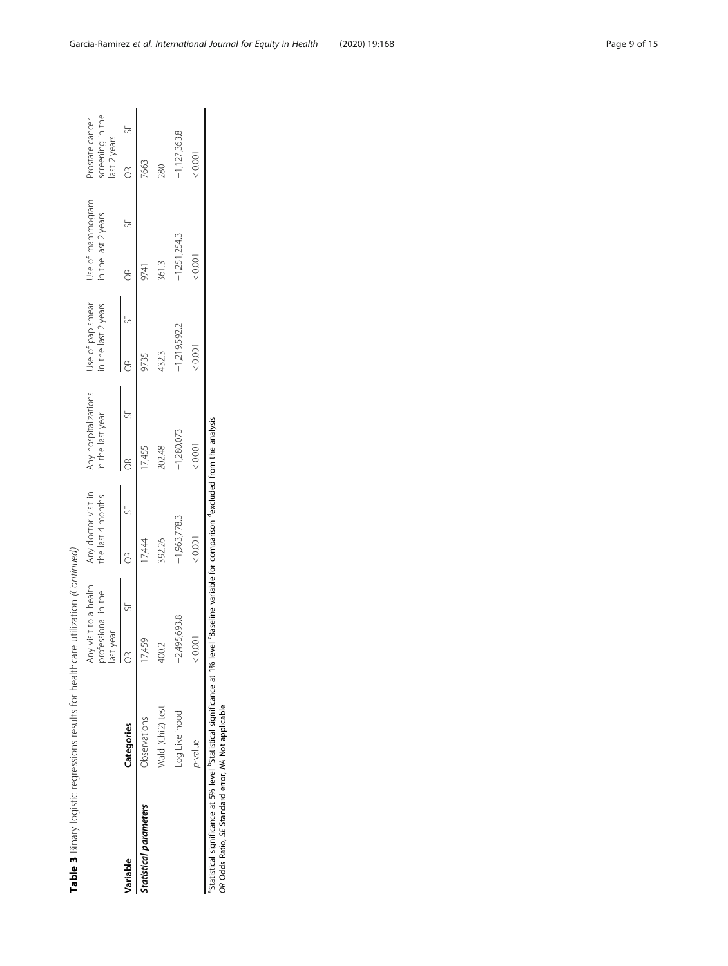| Table 3 Binary logistic regressions results for healthcare utilization (Continued) |                     |                                 |                                                               |                                          |                                         |                                         |                                                     |    |
|------------------------------------------------------------------------------------|---------------------|---------------------------------|---------------------------------------------------------------|------------------------------------------|-----------------------------------------|-----------------------------------------|-----------------------------------------------------|----|
|                                                                                    |                     | rofessional in the<br>last year | my visit to a health Any doctor visit in<br>the last 4 months | Any hospitalizations<br>in the last year | Use of pap smear<br>in the last 2 years | Use of mammogram<br>in the last 2 years | screening in the<br>Prostate cancer<br>last 2 years |    |
| Variable                                                                           | Categories          | E                               | g                                                             | ã                                        | ã                                       | Ĕ                                       | Ĕ                                                   | 5E |
| Statistical parameters                                                             | <b>Jbservations</b> | 7,459                           | 17,444                                                        | 17,455                                   | 9735                                    | 9741                                    | 7663                                                |    |
|                                                                                    | Wald (Chi2) test    | 400.2                           | 392.26                                                        | 202.48                                   | 432.3                                   | 361.3                                   | 280                                                 |    |
|                                                                                    | Log Likelihood      | $-2,495,693.8$                  | $-1,963,778.3$                                                | $-1,280,073$                             | $-1,219,592.2$                          | $-1,251,254.3$                          | $-1,127,363.8$                                      |    |
|                                                                                    | p-value             | $-0.001$                        | 0.001                                                         | < 0.001                                  | 20.001                                  | 0.001                                   | < 0.001                                             |    |
|                                                                                    |                     |                                 |                                                               |                                          |                                         |                                         |                                                     |    |

<sup>a</sup>Statistical significance at 5% level <sup>b</sup>Statistical significance at 1% level 'Baseline variable for comparison <sup>d</sup>excluded from the analysis<br>OR Odds Ratio, SE Standard error, MA Not applicable Statistical significance at 5% level <sup>b</sup>Statistical significance at 1% level 'Baseline variable for comparison <sup>d</sup>excluded from the analysis OR Odds Ratio, SE Standard error, NA Not applicable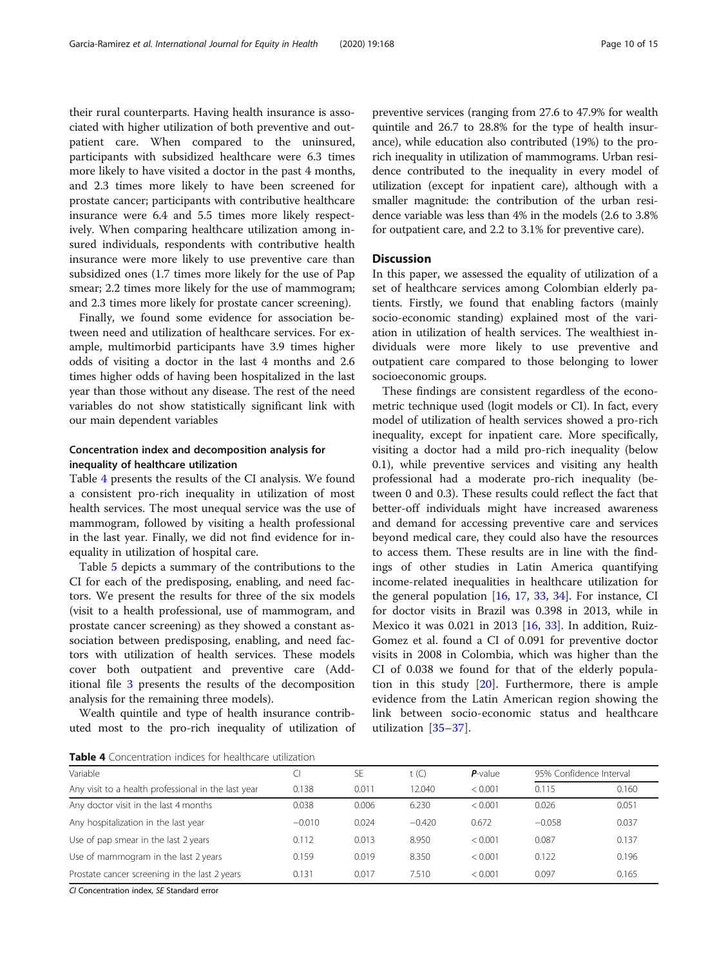their rural counterparts. Having health insurance is associated with higher utilization of both preventive and outpatient care. When compared to the uninsured, participants with subsidized healthcare were 6.3 times more likely to have visited a doctor in the past 4 months, and 2.3 times more likely to have been screened for prostate cancer; participants with contributive healthcare insurance were 6.4 and 5.5 times more likely respectively. When comparing healthcare utilization among insured individuals, respondents with contributive health insurance were more likely to use preventive care than subsidized ones (1.7 times more likely for the use of Pap smear; 2.2 times more likely for the use of mammogram; and 2.3 times more likely for prostate cancer screening).

Finally, we found some evidence for association between need and utilization of healthcare services. For example, multimorbid participants have 3.9 times higher odds of visiting a doctor in the last 4 months and 2.6 times higher odds of having been hospitalized in the last year than those without any disease. The rest of the need variables do not show statistically significant link with our main dependent variables

### Concentration index and decomposition analysis for inequality of healthcare utilization

Table 4 presents the results of the CI analysis. We found a consistent pro-rich inequality in utilization of most health services. The most unequal service was the use of mammogram, followed by visiting a health professional in the last year. Finally, we did not find evidence for inequality in utilization of hospital care.

Table [5](#page-10-0) depicts a summary of the contributions to the CI for each of the predisposing, enabling, and need factors. We present the results for three of the six models (visit to a health professional, use of mammogram, and prostate cancer screening) as they showed a constant association between predisposing, enabling, and need factors with utilization of health services. These models cover both outpatient and preventive care (Additional file [3](#page-12-0) presents the results of the decomposition analysis for the remaining three models).

Wealth quintile and type of health insurance contributed most to the pro-rich inequality of utilization of preventive services (ranging from 27.6 to 47.9% for wealth quintile and 26.7 to 28.8% for the type of health insurance), while education also contributed (19%) to the prorich inequality in utilization of mammograms. Urban residence contributed to the inequality in every model of utilization (except for inpatient care), although with a smaller magnitude: the contribution of the urban residence variable was less than 4% in the models (2.6 to 3.8% for outpatient care, and 2.2 to 3.1% for preventive care).

#### **Discussion**

In this paper, we assessed the equality of utilization of a set of healthcare services among Colombian elderly patients. Firstly, we found that enabling factors (mainly socio-economic standing) explained most of the variation in utilization of health services. The wealthiest individuals were more likely to use preventive and outpatient care compared to those belonging to lower socioeconomic groups.

These findings are consistent regardless of the econometric technique used (logit models or CI). In fact, every model of utilization of health services showed a pro-rich inequality, except for inpatient care. More specifically, visiting a doctor had a mild pro-rich inequality (below 0.1), while preventive services and visiting any health professional had a moderate pro-rich inequality (between 0 and 0.3). These results could reflect the fact that better-off individuals might have increased awareness and demand for accessing preventive care and services beyond medical care, they could also have the resources to access them. These results are in line with the findings of other studies in Latin America quantifying income-related inequalities in healthcare utilization for the general population  $[16, 17, 33, 34]$  $[16, 17, 33, 34]$  $[16, 17, 33, 34]$  $[16, 17, 33, 34]$  $[16, 17, 33, 34]$  $[16, 17, 33, 34]$  $[16, 17, 33, 34]$  $[16, 17, 33, 34]$ . For instance, CI for doctor visits in Brazil was 0.398 in 2013, while in Mexico it was 0.021 in 2013 [\[16](#page-13-0), [33\]](#page-13-0). In addition, Ruiz-Gomez et al. found a CI of 0.091 for preventive doctor visits in 2008 in Colombia, which was higher than the CI of 0.038 we found for that of the elderly population in this study  $[20]$  $[20]$ . Furthermore, there is ample evidence from the Latin American region showing the link between socio-economic status and healthcare utilization [[35](#page-14-0)–[37](#page-14-0)].

Table 4 Concentration indices for healthcare utilization

| Variable                                            |          | <b>SE</b> | t $(C)$  | $P$ -value | 95% Confidence Interval |       |
|-----------------------------------------------------|----------|-----------|----------|------------|-------------------------|-------|
| Any visit to a health professional in the last year | 0.138    | 0.011     | 12.040   | < 0.001    | 0.115                   | 0.160 |
| Any doctor visit in the last 4 months               | 0.038    | 0.006     | 6.230    | < 0.001    | 0.026                   | 0.051 |
| Any hospitalization in the last year                | $-0.010$ | 0.024     | $-0.420$ | 0.672      | $-0.058$                | 0.037 |
| Use of pap smear in the last 2 years                | 0.112    | 0.013     | 8.950    | < 0.001    | 0.087                   | 0.137 |
| Use of mammogram in the last 2 years                | 0.159    | 0.019     | 8.350    | < 0.001    | 0.122                   | 0.196 |
| Prostate cancer screening in the last 2 years       | 0.131    | 0.017     | 7.510    | < 0.001    | 0.097                   | 0.165 |

CI Concentration index, SE Standard error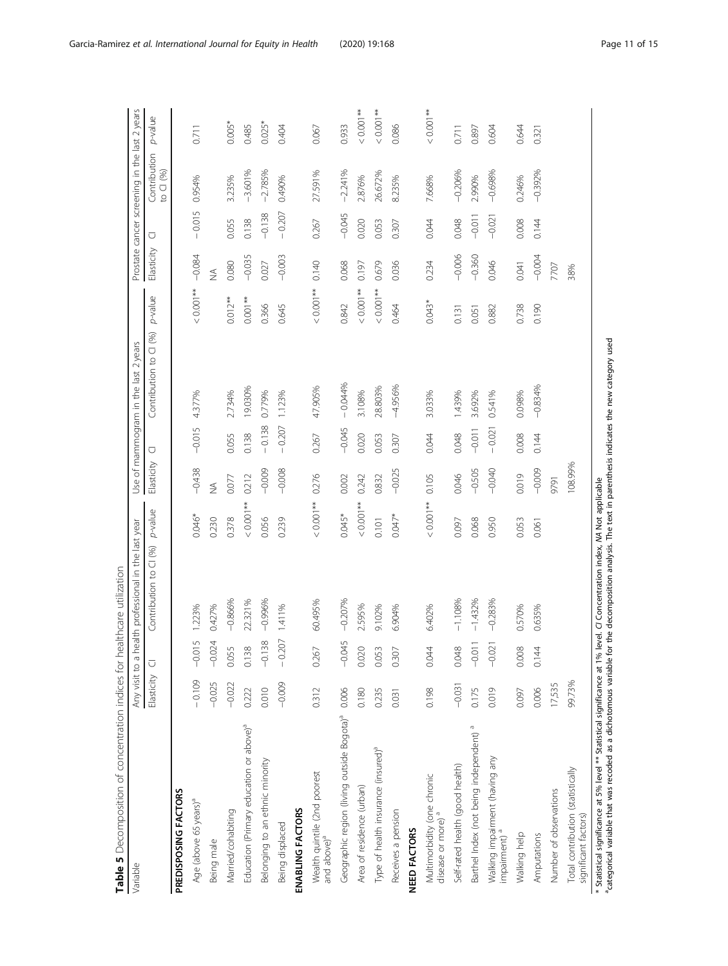<span id="page-10-0"></span>

| Table 5 Decomposition of concentration indices for healthcare utilization                                                 |                |                      |                                      |            |               |                   |                                      |                       |               |                   |                                               |            |
|---------------------------------------------------------------------------------------------------------------------------|----------------|----------------------|--------------------------------------|------------|---------------|-------------------|--------------------------------------|-----------------------|---------------|-------------------|-----------------------------------------------|------------|
| Variable                                                                                                                  | Any visit to a |                      | health professional in the last year |            |               |                   | Use of mammogram in the last 2 years |                       |               |                   | Prostate cancer screening in the last 2 years |            |
|                                                                                                                           | Elasticity CI  |                      | Contribution to CI (%)               | p-value    | Elasticity    | $\overline{\cup}$ | Contribution to CI (%) p-value       |                       | Elasticity    | $\overline{\cup}$ | Contribution p-value<br>to CI (%)             |            |
| PREDISPOSING FACTORS                                                                                                      |                |                      |                                      |            |               |                   |                                      |                       |               |                   |                                               |            |
| Age (above 65 years) <sup>a</sup>                                                                                         | $-0.109$       | $-0.015$             | 1.223%                               | 0.046*     | $-0.438$      | $-0.015$          | 4.377%                               | $< 0.001***$          | $-0.084$      | $-0.015$          | 0.954%                                        | 0.711      |
| Being male                                                                                                                | $-0.025$       | $-0.024$             | 0.427%                               | 0.230      | $\lessapprox$ |                   |                                      |                       | $\frac{1}{2}$ |                   |                                               |            |
| Married/cohabiting                                                                                                        | $-0.022$       | 0.055                | $-0.866%$                            | 0.378      | 0.077         | 0.055             | 2.734%                               | $0.012***$            | 0.080         | 0.055             | 3.235%                                        | $0.005*$   |
| Education (Primary education or above) <sup>ª</sup>                                                                       | 0.222          | 38<br>$\overline{5}$ | 22.321%                              | $0.001***$ | 0.212         | 0.138             | 19.030%                              | $0.001***$            | $-0.035$      | 0.138             | $-3.601%$                                     | 0.485      |
| Belonging to an ethnic minority                                                                                           | 0.010          | $-0.138$             | $-0.996%$                            | 0.056      | $-0.009$      | 0.138             | 0.779%                               | 0.366                 | 0.027         | $-0.138$          | $-2.785%$                                     | $0.025*$   |
| Being displaced                                                                                                           | $-0.009$       | $-0.207$             | 1.411%                               | 0.239      | $-0.008$      | $-0.207$          | 1.123%                               | 0.645                 | $-0.003$      | $-0.207$          | 0.490%                                        | 0.404      |
| ENABLING FACTORS                                                                                                          |                |                      |                                      |            |               |                   |                                      |                       |               |                   |                                               |            |
| Wealth quintile (2nd poorest<br>and above) <sup>a</sup>                                                                   | 0.312          | 0.267                | 60.495%                              | $0.001**$  | 0.276         | 0.267             | 47.905%                              | $0.001***$            | 0.140         | 0.267             | 27.591%                                       | 0.067      |
| Geographic region (living outside Bogota) <sup>ª</sup>                                                                    | 0.006          | $-0.045$             | $-0.207%$                            | $0.045*$   | 0.002         | $-0.045$          | $-0.044%$                            | 0.842                 | 0.068         | $-0.045$          | $-2.241%$                                     | 0.933      |
| Area of residence (urban)                                                                                                 | 0.180          | 0.020                | 2.595%                               | $0.001***$ | 0.242         | 0.020             | 3.108%                               | $\frac{1}{2}$ 0.001** | 0.197         | 0.020             | 2.876%                                        | $0.001***$ |
| Type of health insurance (insured) <sup>a</sup>                                                                           | 0.235          | 0.053                | 9.102%                               | 0.101      | 0.832         | 0.053             | 28.803%                              | $0.001***$            | 0.679         | 0.053             | 26.672%                                       | $0.001***$ |
| Receives a pension                                                                                                        | 0.031          | 0.307                | 6.904%                               | $0.047*$   | $-0.025$      | 0.307             | $-4.956%$                            | 0.464                 | 0.036         | 0.307             | 8.235%                                        | 0.086      |
| NEED FACTORS                                                                                                              |                |                      |                                      |            |               |                   |                                      |                       |               |                   |                                               |            |
| Multimorbidity (one chronic<br>disease or more) <sup>a</sup>                                                              | 0.198          | 0.044                | 6.402%                               | $0.001***$ | 0.105         | 0.044             | 3.033%                               | $0.043*$              | 0.234         | 0.044             | 7.668%                                        | $0.001***$ |
| Self-rated health (good health)                                                                                           | $-0.031$       | 0.048                | $-1.108%$                            | 0.097      | 0.046         | 0.048             | 1.439%                               | 0.131                 | $-0.006$      | 0.048             | $-0.206%$                                     | 0.711      |
| Barthel Index (not being independent) <sup>a</sup>                                                                        | 0.175          | $-0.011$             | $-1.432%$                            | 0.068      | $-0.505$      | $-0.011$          | 3.692%                               | 0.051                 | $-0.360$      | $-0.011$          | 2.990%                                        | 0.897      |
| Walking impairment (having any<br>impairment) <sup>a</sup>                                                                | 0.019          | $-0.021$             | $-0.283%$                            | 0.950      | $-0.040$      | $-0.021$          | 0.541%                               | 0.882                 | 0.046         | $-0.021$          | $-0.698%$                                     | 0.604      |
| Walking help                                                                                                              | 0.097          | 0.008                | 0.570%                               | 0.053      | 0.019         | 0.008             | 0.098%                               | 0.738                 | 0.041         | 0.008             | 0.246%                                        | 0.644      |
| Amputations                                                                                                               | 0.006          | 0.144                | 0.635%                               | 0.061      | $-0.009$      | 0.144             | $-0.834%$                            | 0.190                 | $-0.004$      | 0.144             | $-0.392%$                                     | 0.321      |
| Number of observations                                                                                                    | 17,535         |                      |                                      |            | 9791          |                   |                                      |                       | 7707          |                   |                                               |            |
| Total contribution (statistically<br>significant factors)                                                                 | 99.73%         |                      |                                      |            | 108.99%       |                   |                                      |                       | 38%           |                   |                                               |            |
| * Statistical significance at 5% level ** Statistical significance at 1% level. CI Concentration index. MA Not applicable |                |                      |                                      |            |               |                   |                                      |                       |               |                   |                                               |            |

\* Statistical significance at 5% level \*\* Statistical significance at 1% level. C/ Concentration index, MA Not applicable<br><sup>a</sup>categorical variable that was recoded as a dichotomous variable for the decomposition analysis. T \* Statistical significance at 5% level \*\* Statistical significance at 1% level. C/ Concentration index, MA Not applicable<br>°categorical variable that was recoded as a dichotomous variable for the decomposition analysis. The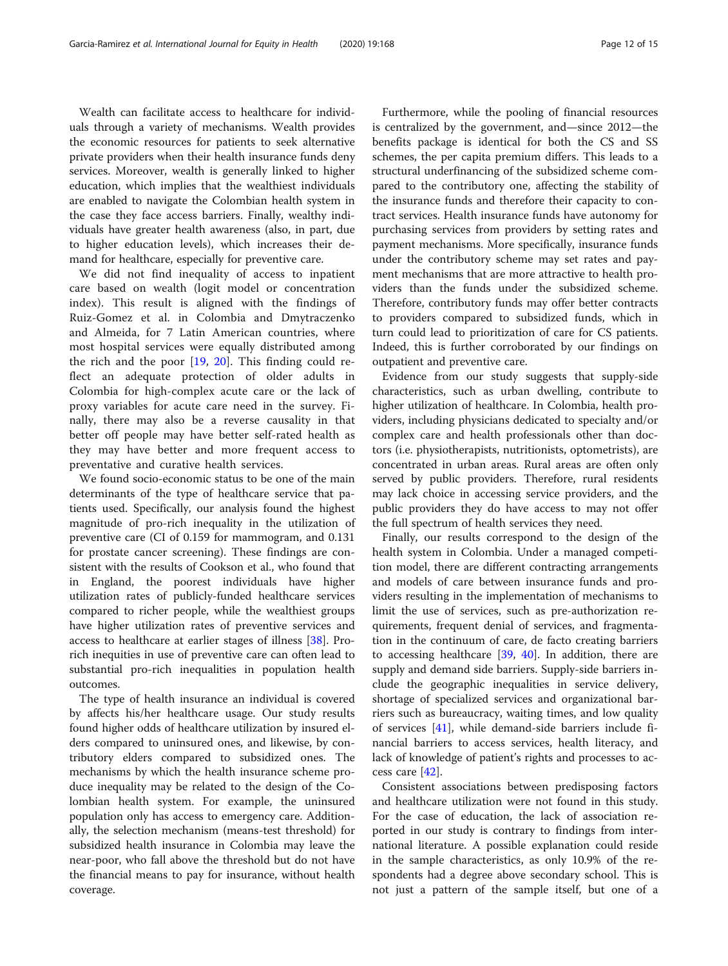Wealth can facilitate access to healthcare for individuals through a variety of mechanisms. Wealth provides the economic resources for patients to seek alternative private providers when their health insurance funds deny services. Moreover, wealth is generally linked to higher education, which implies that the wealthiest individuals are enabled to navigate the Colombian health system in the case they face access barriers. Finally, wealthy individuals have greater health awareness (also, in part, due to higher education levels), which increases their demand for healthcare, especially for preventive care.

We did not find inequality of access to inpatient care based on wealth (logit model or concentration index). This result is aligned with the findings of Ruiz-Gomez et al. in Colombia and Dmytraczenko and Almeida, for 7 Latin American countries, where most hospital services were equally distributed among the rich and the poor [[19,](#page-13-0) [20](#page-13-0)]. This finding could reflect an adequate protection of older adults in Colombia for high-complex acute care or the lack of proxy variables for acute care need in the survey. Finally, there may also be a reverse causality in that better off people may have better self-rated health as they may have better and more frequent access to preventative and curative health services.

We found socio-economic status to be one of the main determinants of the type of healthcare service that patients used. Specifically, our analysis found the highest magnitude of pro-rich inequality in the utilization of preventive care (CI of 0.159 for mammogram, and 0.131 for prostate cancer screening). These findings are consistent with the results of Cookson et al., who found that in England, the poorest individuals have higher utilization rates of publicly-funded healthcare services compared to richer people, while the wealthiest groups have higher utilization rates of preventive services and access to healthcare at earlier stages of illness [[38\]](#page-14-0). Prorich inequities in use of preventive care can often lead to substantial pro-rich inequalities in population health outcomes.

The type of health insurance an individual is covered by affects his/her healthcare usage. Our study results found higher odds of healthcare utilization by insured elders compared to uninsured ones, and likewise, by contributory elders compared to subsidized ones. The mechanisms by which the health insurance scheme produce inequality may be related to the design of the Colombian health system. For example, the uninsured population only has access to emergency care. Additionally, the selection mechanism (means-test threshold) for subsidized health insurance in Colombia may leave the near-poor, who fall above the threshold but do not have the financial means to pay for insurance, without health coverage.

Furthermore, while the pooling of financial resources is centralized by the government, and—since 2012—the benefits package is identical for both the CS and SS schemes, the per capita premium differs. This leads to a structural underfinancing of the subsidized scheme compared to the contributory one, affecting the stability of the insurance funds and therefore their capacity to contract services. Health insurance funds have autonomy for purchasing services from providers by setting rates and payment mechanisms. More specifically, insurance funds under the contributory scheme may set rates and payment mechanisms that are more attractive to health providers than the funds under the subsidized scheme. Therefore, contributory funds may offer better contracts to providers compared to subsidized funds, which in turn could lead to prioritization of care for CS patients. Indeed, this is further corroborated by our findings on outpatient and preventive care.

Evidence from our study suggests that supply-side characteristics, such as urban dwelling, contribute to higher utilization of healthcare. In Colombia, health providers, including physicians dedicated to specialty and/or complex care and health professionals other than doctors (i.e. physiotherapists, nutritionists, optometrists), are concentrated in urban areas. Rural areas are often only served by public providers. Therefore, rural residents may lack choice in accessing service providers, and the public providers they do have access to may not offer the full spectrum of health services they need.

Finally, our results correspond to the design of the health system in Colombia. Under a managed competition model, there are different contracting arrangements and models of care between insurance funds and providers resulting in the implementation of mechanisms to limit the use of services, such as pre-authorization requirements, frequent denial of services, and fragmentation in the continuum of care, de facto creating barriers to accessing healthcare [\[39,](#page-14-0) [40\]](#page-14-0). In addition, there are supply and demand side barriers. Supply-side barriers include the geographic inequalities in service delivery, shortage of specialized services and organizational barriers such as bureaucracy, waiting times, and low quality of services [\[41](#page-14-0)], while demand-side barriers include financial barriers to access services, health literacy, and lack of knowledge of patient's rights and processes to access care [[42\]](#page-14-0).

Consistent associations between predisposing factors and healthcare utilization were not found in this study. For the case of education, the lack of association reported in our study is contrary to findings from international literature. A possible explanation could reside in the sample characteristics, as only 10.9% of the respondents had a degree above secondary school. This is not just a pattern of the sample itself, but one of a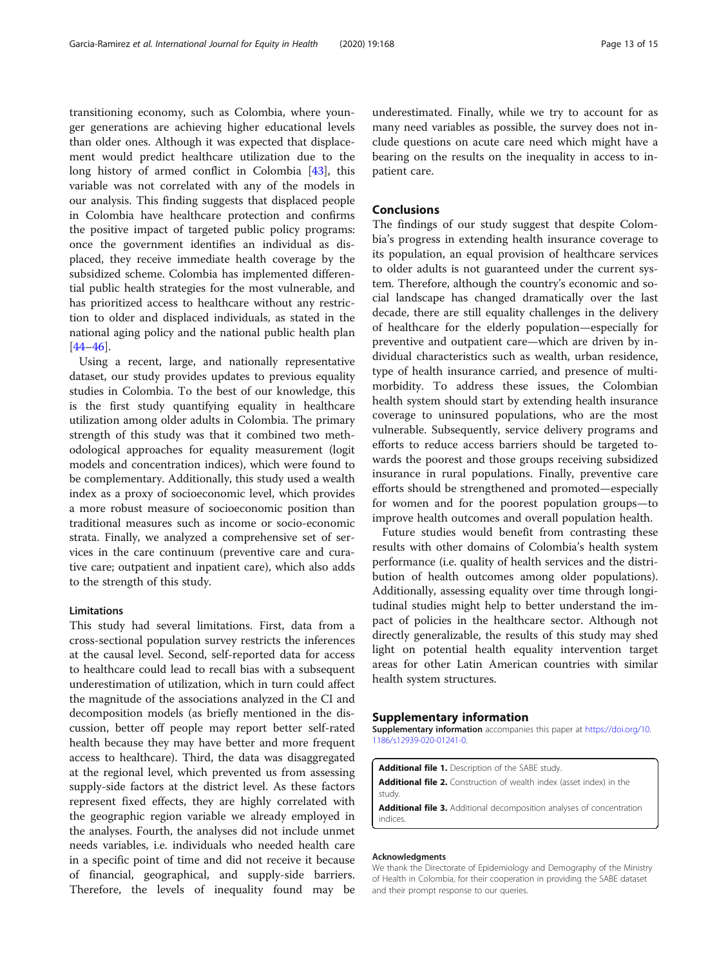<span id="page-12-0"></span>transitioning economy, such as Colombia, where younger generations are achieving higher educational levels than older ones. Although it was expected that displacement would predict healthcare utilization due to the long history of armed conflict in Colombia [\[43](#page-14-0)], this variable was not correlated with any of the models in our analysis. This finding suggests that displaced people in Colombia have healthcare protection and confirms the positive impact of targeted public policy programs: once the government identifies an individual as displaced, they receive immediate health coverage by the subsidized scheme. Colombia has implemented differential public health strategies for the most vulnerable, and has prioritized access to healthcare without any restriction to older and displaced individuals, as stated in the national aging policy and the national public health plan [[44](#page-14-0)–[46](#page-14-0)].

Using a recent, large, and nationally representative dataset, our study provides updates to previous equality studies in Colombia. To the best of our knowledge, this is the first study quantifying equality in healthcare utilization among older adults in Colombia. The primary strength of this study was that it combined two methodological approaches for equality measurement (logit models and concentration indices), which were found to be complementary. Additionally, this study used a wealth index as a proxy of socioeconomic level, which provides a more robust measure of socioeconomic position than traditional measures such as income or socio-economic strata. Finally, we analyzed a comprehensive set of services in the care continuum (preventive care and curative care; outpatient and inpatient care), which also adds to the strength of this study.

#### Limitations

This study had several limitations. First, data from a cross-sectional population survey restricts the inferences at the causal level. Second, self-reported data for access to healthcare could lead to recall bias with a subsequent underestimation of utilization, which in turn could affect the magnitude of the associations analyzed in the CI and decomposition models (as briefly mentioned in the discussion, better off people may report better self-rated health because they may have better and more frequent access to healthcare). Third, the data was disaggregated at the regional level, which prevented us from assessing supply-side factors at the district level. As these factors represent fixed effects, they are highly correlated with the geographic region variable we already employed in the analyses. Fourth, the analyses did not include unmet needs variables, i.e. individuals who needed health care in a specific point of time and did not receive it because of financial, geographical, and supply-side barriers. Therefore, the levels of inequality found may be underestimated. Finally, while we try to account for as many need variables as possible, the survey does not include questions on acute care need which might have a bearing on the results on the inequality in access to inpatient care.

#### Conclusions

The findings of our study suggest that despite Colombia's progress in extending health insurance coverage to its population, an equal provision of healthcare services to older adults is not guaranteed under the current system. Therefore, although the country's economic and social landscape has changed dramatically over the last decade, there are still equality challenges in the delivery of healthcare for the elderly population—especially for preventive and outpatient care—which are driven by individual characteristics such as wealth, urban residence, type of health insurance carried, and presence of multimorbidity. To address these issues, the Colombian health system should start by extending health insurance coverage to uninsured populations, who are the most vulnerable. Subsequently, service delivery programs and efforts to reduce access barriers should be targeted towards the poorest and those groups receiving subsidized insurance in rural populations. Finally, preventive care efforts should be strengthened and promoted—especially for women and for the poorest population groups—to improve health outcomes and overall population health.

Future studies would benefit from contrasting these results with other domains of Colombia's health system performance (i.e. quality of health services and the distribution of health outcomes among older populations). Additionally, assessing equality over time through longitudinal studies might help to better understand the impact of policies in the healthcare sector. Although not directly generalizable, the results of this study may shed light on potential health equality intervention target areas for other Latin American countries with similar health system structures.

#### Supplementary information

Supplementary information accompanies this paper at [https://doi.org/10.](https://doi.org/10.1186/s12939-020-01241-0) [1186/s12939-020-01241-0](https://doi.org/10.1186/s12939-020-01241-0).

Additional file 1. Description of the SABE study. Additional file 2. Construction of wealth index (asset index) in the study.

Additional file 3. Additional decomposition analyses of concentration indices.

#### Acknowledgments

We thank the Directorate of Epidemiology and Demography of the Ministry of Health in Colombia, for their cooperation in providing the SABE dataset and their prompt response to our queries.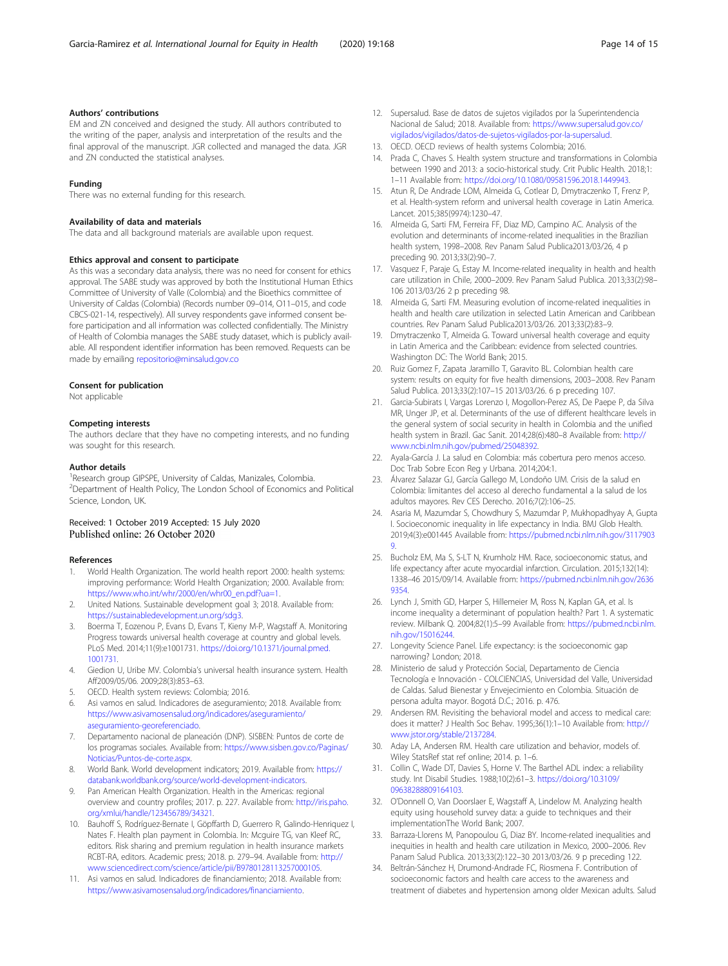#### <span id="page-13-0"></span>Authors' contributions

EM and ZN conceived and designed the study. All authors contributed to the writing of the paper, analysis and interpretation of the results and the final approval of the manuscript. JGR collected and managed the data. JGR and ZN conducted the statistical analyses.

#### Funding

There was no external funding for this research.

#### Availability of data and materials

The data and all background materials are available upon request.

#### Ethics approval and consent to participate

As this was a secondary data analysis, there was no need for consent for ethics approval. The SABE study was approved by both the Institutional Human Ethics Committee of University of Valle (Colombia) and the Bioethics committee of University of Caldas (Colombia) (Records number 09–014, O11–015, and code CBCS-021-14, respectively). All survey respondents gave informed consent before participation and all information was collected confidentially. The Ministry of Health of Colombia manages the SABE study dataset, which is publicly available. All respondent identifier information has been removed. Requests can be made by emailing [repositorio@minsalud.gov.co](mailto:repositorio@minsalud.gov.co)

#### Consent for publication

Not applicable

#### Competing interests

The authors declare that they have no competing interests, and no funding was sought for this research.

#### Author details

<sup>1</sup> Research group GIPSPE, University of Caldas, Manizales, Colombia. <sup>2</sup> Department of Health Policy, The London School of Economics and Political Science, London, UK.

#### Received: 1 October 2019 Accepted: 15 July 2020 Published online: 26 October 2020

#### References

- 1. World Health Organization. The world health report 2000: health systems: improving performance: World Health Organization; 2000. Available from: [https://www.who.int/whr/2000/en/whr00\\_en.pdf?ua=1](https://www.who.int/whr/2000/en/whr00_en.pdf?ua=1).
- 2. United Nations. Sustainable development goal 3; 2018. Available from: [https://sustainabledevelopment.un.org/sdg3.](https://sustainabledevelopment.un.org/sdg3)
- 3. Boerma T, Eozenou P, Evans D, Evans T, Kieny M-P, Wagstaff A. Monitoring Progress towards universal health coverage at country and global levels. PLoS Med. 2014;11(9):e1001731. [https://doi.org/10.1371/journal.pmed.](https://doi.org/10.1371/journal.pmed.1001731) [1001731.](https://doi.org/10.1371/journal.pmed.1001731)
- 4. Giedion U, Uribe MV. Colombia's universal health insurance system. Health Aff2009/05/06. 2009;28(3):853–63.
- 5. OECD. Health system reviews: Colombia; 2016.
- 6. Asi vamos en salud. Indicadores de aseguramiento; 2018. Available from: [https://www.asivamosensalud.org/indicadores/aseguramiento/](https://www.asivamosensalud.org/indicadores/aseguramiento/aseguramiento-georeferenciado) [aseguramiento-georeferenciado.](https://www.asivamosensalud.org/indicadores/aseguramiento/aseguramiento-georeferenciado)
- 7. Departamento nacional de planeación (DNP). SISBEN: Puntos de corte de los programas sociales. Available from: [https://www.sisben.gov.co/Paginas/](https://www.sisben.gov.co/Paginas/Noticias/Puntos-de-corte.aspx) [Noticias/Puntos-de-corte.aspx.](https://www.sisben.gov.co/Paginas/Noticias/Puntos-de-corte.aspx)
- 8. World Bank. World development indicators; 2019. Available from: [https://](https://databank.worldbank.org/source/world-development-indicators) [databank.worldbank.org/source/world-development-indicators.](https://databank.worldbank.org/source/world-development-indicators)
- Pan American Health Organization. Health in the Americas: regional overview and country profiles; 2017. p. 227. Available from: [http://iris.paho.](http://iris.paho.org/xmlui/handle/123456789/34321) [org/xmlui/handle/123456789/34321.](http://iris.paho.org/xmlui/handle/123456789/34321)
- 10. Bauhoff S, Rodríguez-Bernate I, Göpffarth D, Guerrero R, Galindo-Henriquez I, Nates F. Health plan payment in Colombia. In: Mcguire TG, van Kleef RC, editors. Risk sharing and premium regulation in health insurance markets RCBT-RA, editors. Academic press; 2018. p. 279–94. Available from: [http://](http://www.sciencedirect.com/science/article/pii/B9780128113257000105) [www.sciencedirect.com/science/article/pii/B9780128113257000105.](http://www.sciencedirect.com/science/article/pii/B9780128113257000105)
- 11. Asi vamos en salud. Indicadores de financiamiento; 2018. Available from: <https://www.asivamosensalud.org/indicadores/financiamiento>.
- 12. Supersalud. Base de datos de sujetos vigilados por la Superintendencia Nacional de Salud; 2018. Available from: [https://www.supersalud.gov.co/](https://www.supersalud.gov.co/vigilados/vigilados/datos-de-sujetos-vigilados-por-la-supersalud) [vigilados/vigilados/datos-de-sujetos-vigilados-por-la-supersalud](https://www.supersalud.gov.co/vigilados/vigilados/datos-de-sujetos-vigilados-por-la-supersalud).
- 13. OECD. OECD reviews of health systems Colombia; 2016.
- 14. Prada C, Chaves S. Health system structure and transformations in Colombia between 1990 and 2013: a socio-historical study. Crit Public Health. 2018;1: 1–11 Available from: <https://doi.org/10.1080/09581596.2018.1449943>.
- 15. Atun R, De Andrade LOM, Almeida G, Cotlear D, Dmytraczenko T, Frenz P, et al. Health-system reform and universal health coverage in Latin America. Lancet. 2015;385(9974):1230–47.
- 16. Almeida G, Sarti FM, Ferreira FF, Diaz MD, Campino AC. Analysis of the evolution and determinants of income-related inequalities in the Brazilian health system, 1998–2008. Rev Panam Salud Publica2013/03/26, 4 p preceding 90. 2013;33(2):90–7.
- 17. Vasquez F, Paraje G, Estay M. Income-related inequality in health and health care utilization in Chile, 2000–2009. Rev Panam Salud Publica. 2013;33(2):98– 106 2013/03/26 2 p preceding 98.
- 18. Almeida G, Sarti FM. Measuring evolution of income-related inequalities in health and health care utilization in selected Latin American and Caribbean countries. Rev Panam Salud Publica2013/03/26. 2013;33(2):83–9.
- 19. Dmytraczenko T, Almeida G, Toward universal health coverage and equity in Latin America and the Caribbean: evidence from selected countries. Washington DC: The World Bank; 2015.
- 20. Ruiz Gomez F, Zapata Jaramillo T, Garavito BL. Colombian health care system: results on equity for five health dimensions, 2003–2008. Rev Panam Salud Publica. 2013;33(2):107–15 2013/03/26. 6 p preceding 107.
- 21. Garcia-Subirats I, Vargas Lorenzo I, Mogollon-Perez AS, De Paepe P, da Silva MR, Unger JP, et al. Determinants of the use of different healthcare levels in the general system of social security in health in Colombia and the unified health system in Brazil. Gac Sanit. 2014;28(6):480–8 Available from: [http://](http://www.ncbi.nlm.nih.gov/pubmed/25048392) [www.ncbi.nlm.nih.gov/pubmed/25048392.](http://www.ncbi.nlm.nih.gov/pubmed/25048392)
- 22. Ayala-García J. La salud en Colombia: más cobertura pero menos acceso. Doc Trab Sobre Econ Reg y Urbana. 2014;204:1.
- 23. Álvarez Salazar GJ, García Gallego M, Londoño UM. Crisis de la salud en Colombia: limitantes del acceso al derecho fundamental a la salud de los adultos mayores. Rev CES Derecho. 2016;7(2):106–25.
- 24. Asaria M, Mazumdar S, Chowdhury S, Mazumdar P, Mukhopadhyay A, Gupta I. Socioeconomic inequality in life expectancy in India. BMJ Glob Health. 2019;4(3):e001445 Available from: [https://pubmed.ncbi.nlm.nih.gov/3117903](https://pubmed.ncbi.nlm.nih.gov/31179039) [9](https://pubmed.ncbi.nlm.nih.gov/31179039).
- 25. Bucholz EM, Ma S, S-LT N, Krumholz HM. Race, socioeconomic status, and life expectancy after acute myocardial infarction. Circulation. 2015;132(14): 1338–46 2015/09/14. Available from: [https://pubmed.ncbi.nlm.nih.gov/2636](https://pubmed.ncbi.nlm.nih.gov/26369354) [9354](https://pubmed.ncbi.nlm.nih.gov/26369354).
- 26. Lynch J, Smith GD, Harper S, Hillemeier M, Ross N, Kaplan GA, et al. Is income inequality a determinant of population health? Part 1. A systematic review. Milbank Q. 2004;82(1):5–99 Available from: [https://pubmed.ncbi.nlm.](https://pubmed.ncbi.nlm.nih.gov/15016244) [nih.gov/15016244.](https://pubmed.ncbi.nlm.nih.gov/15016244)
- 27. Longevity Science Panel. Life expectancy: is the socioeconomic gap narrowing? London; 2018.
- 28. Ministerio de salud y Protección Social, Departamento de Ciencia Tecnología e Innovación - COLCIENCIAS, Universidad del Valle, Universidad de Caldas. Salud Bienestar y Envejecimiento en Colombia. Situación de persona adulta mayor. Bogotá D.C.; 2016. p. 476.
- 29. Andersen RM. Revisiting the behavioral model and access to medical care: does it matter? J Health Soc Behav. 1995;36(1):1–10 Available from: [http://](http://www.jstor.org/stable/2137284) [www.jstor.org/stable/2137284.](http://www.jstor.org/stable/2137284)
- 30. Aday LA, Andersen RM. Health care utilization and behavior, models of. Wiley StatsRef stat ref online; 2014. p. 1–6.
- 31. Collin C, Wade DT, Davies S, Horne V. The Barthel ADL index: a reliability study. Int Disabil Studies. 1988;10(2):61–3. [https://doi.org/10.3109/](https://doi.org/10.3109/09638288809164103) [09638288809164103.](https://doi.org/10.3109/09638288809164103)
- 32. O'Donnell O, Van Doorslaer E, Wagstaff A, Lindelow M. Analyzing health equity using household survey data: a guide to techniques and their implementationThe World Bank; 2007.
- 33. Barraza-Llorens M, Panopoulou G, Diaz BY. Income-related inequalities and inequities in health and health care utilization in Mexico, 2000–2006. Rev Panam Salud Publica. 2013;33(2):122–30 2013/03/26. 9 p preceding 122.
- 34. Beltrán-Sánchez H, Drumond-Andrade FC, Riosmena F. Contribution of socioeconomic factors and health care access to the awareness and treatment of diabetes and hypertension among older Mexican adults. Salud